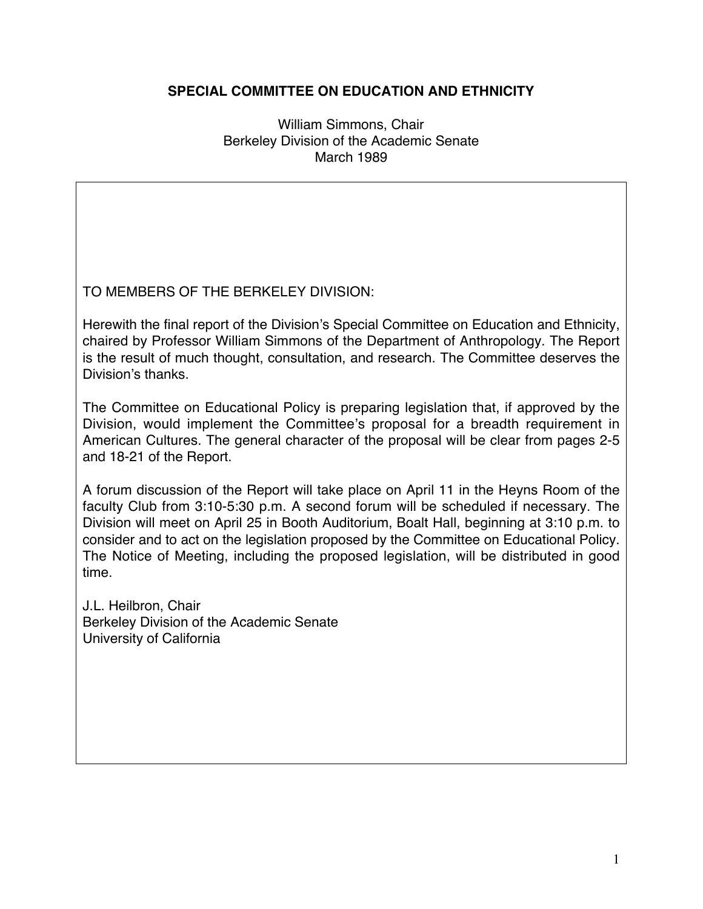## **SPECIAL COMMITTEE ON EDUCATION AND ETHNICITY**

William Simmons, Chair Berkeley Division of the Academic Senate March 1989

TO MEMBERS OF THE BERKELEY DIVISION:

Herewith the final report of the Division's Special Committee on Education and Ethnicity, chaired by Professor William Simmons of the Department of Anthropology. The Report is the result of much thought, consultation, and research. The Committee deserves the Division's thanks.

The Committee on Educational Policy is preparing legislation that, if approved by the Division, would implement the Committee's proposal for a breadth requirement in American Cultures. The general character of the proposal will be clear from pages 2-5 and 18-21 of the Report.

A forum discussion of the Report will take place on April 11 in the Heyns Room of the faculty Club from 3:10-5:30 p.m. A second forum will be scheduled if necessary. The Division will meet on April 25 in Booth Auditorium, Boalt Hall, beginning at 3:10 p.m. to consider and to act on the legislation proposed by the Committee on Educational Policy. The Notice of Meeting, including the proposed legislation, will be distributed in good time.

J.L. Heilbron, Chair Berkeley Division of the Academic Senate University of California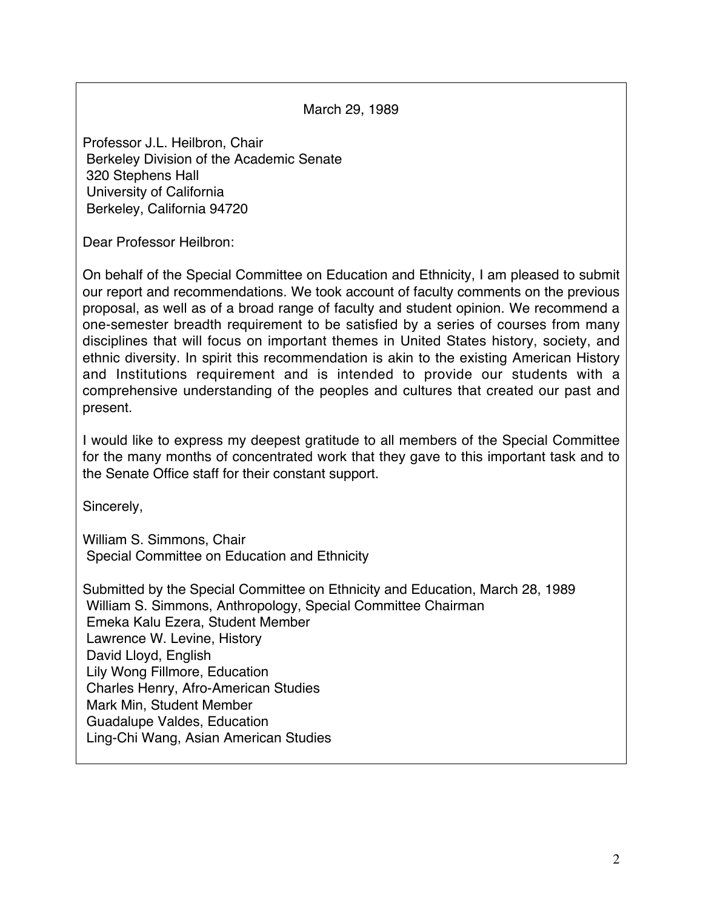March 29, 1989

Professor J.L. Heilbron, Chair Berkeley Division of the Academic Senate 320 Stephens Hall University of California Berkeley, California 94720

Dear Professor Heilbron:

On behalf of the Special Committee on Education and Ethnicity, I am pleased to submit our report and recommendations. We took account of faculty comments on the previous proposal, as well as of a broad range of faculty and student opinion. We recommend a one-semester breadth requirement to be satisfied by a series of courses from many disciplines that will focus on important themes in United States history, society, and ethnic diversity. In spirit this recommendation is akin to the existing American History and Institutions requirement and is intended to provide our students with a comprehensive understanding of the peoples and cultures that created our past and present.

I would like to express my deepest gratitude to all members of the Special Committee for the many months of concentrated work that they gave to this important task and to the Senate Office staff for their constant support.

Sincerely,

William S. Simmons, Chair Special Committee on Education and Ethnicity

Submitted by the Special Committee on Ethnicity and Education, March 28, 1989 William S. Simmons, Anthropology, Special Committee Chairman Emeka Kalu Ezera, Student Member Lawrence W. Levine, History David Lloyd, English Lily Wong Fillmore, Education Charles Henry, Afro-American Studies Mark Min, Student Member Guadalupe Valdes, Education Ling-Chi Wang, Asian American Studies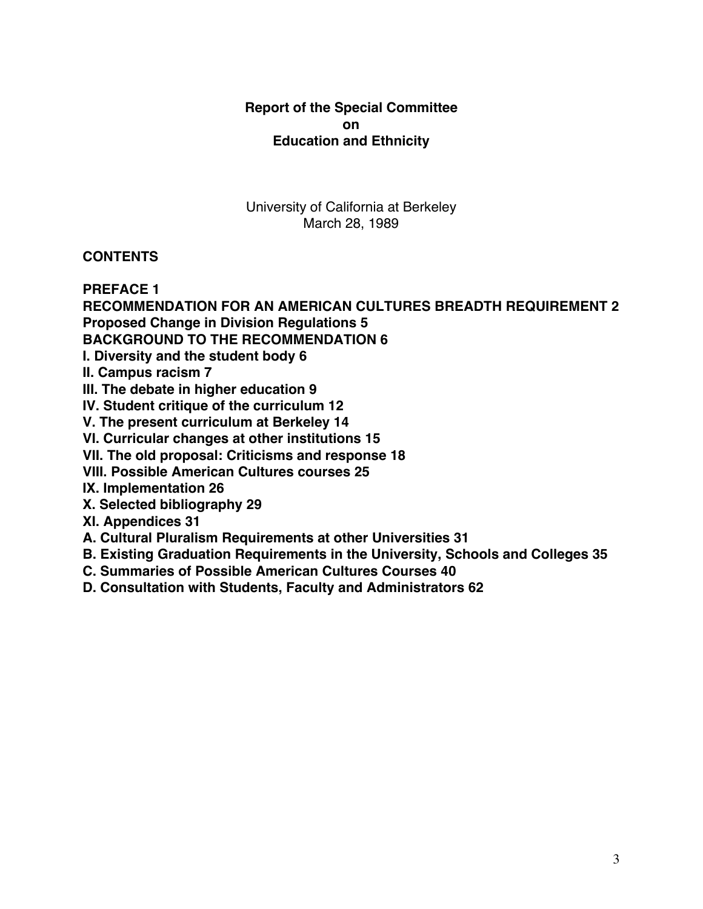## **Report of the Special Committee on Education and Ethnicity**

University of California at Berkeley March 28, 1989

# **CONTENTS**

**PREFACE 1**

**RECOMMENDATION FOR AN AMERICAN CULTURES BREADTH REQUIREMENT 2 Proposed Change in Division Regulations 5**

**BACKGROUND TO THE RECOMMENDATION 6**

**I. Diversity and the student body 6**

**II. Campus racism 7**

**III. The debate in higher education 9**

**IV. Student critique of the curriculum 12**

**V. The present curriculum at Berkeley 14**

**VI. Curricular changes at other institutions 15**

**VII. The old proposal: Criticisms and response 18**

**VIII. Possible American Cultures courses 25**

**IX. Implementation 26**

**X. Selected bibliography 29**

**XI. Appendices 31**

**A. Cultural Pluralism Requirements at other Universities 31**

**B. Existing Graduation Requirements in the University, Schools and Colleges 35**

**C. Summaries of Possible American Cultures Courses 40**

**D. Consultation with Students, Faculty and Administrators 62**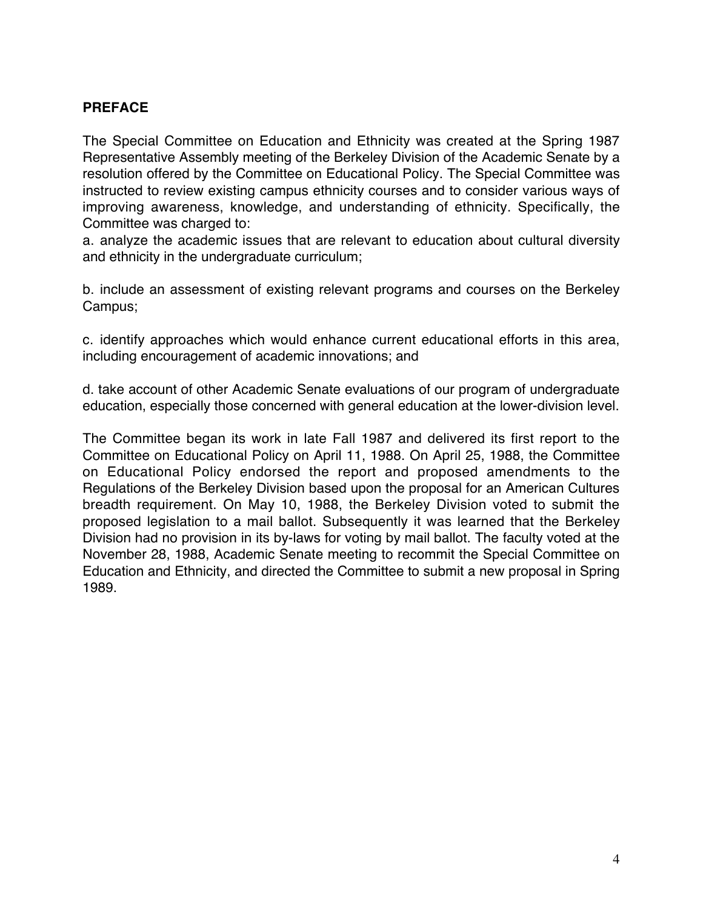# **PREFACE**

The Special Committee on Education and Ethnicity was created at the Spring 1987 Representative Assembly meeting of the Berkeley Division of the Academic Senate by a resolution offered by the Committee on Educational Policy. The Special Committee was instructed to review existing campus ethnicity courses and to consider various ways of improving awareness, knowledge, and understanding of ethnicity. Specifically, the Committee was charged to:

a. analyze the academic issues that are relevant to education about cultural diversity and ethnicity in the undergraduate curriculum;

b. include an assessment of existing relevant programs and courses on the Berkeley Campus;

c. identify approaches which would enhance current educational efforts in this area, including encouragement of academic innovations; and

d. take account of other Academic Senate evaluations of our program of undergraduate education, especially those concerned with general education at the lower-division level.

The Committee began its work in late Fall 1987 and delivered its first report to the Committee on Educational Policy on April 11, 1988. On April 25, 1988, the Committee on Educational Policy endorsed the report and proposed amendments to the Regulations of the Berkeley Division based upon the proposal for an American Cultures breadth requirement. On May 10, 1988, the Berkeley Division voted to submit the proposed legislation to a mail ballot. Subsequently it was learned that the Berkeley Division had no provision in its by-laws for voting by mail ballot. The faculty voted at the November 28, 1988, Academic Senate meeting to recommit the Special Committee on Education and Ethnicity, and directed the Committee to submit a new proposal in Spring 1989.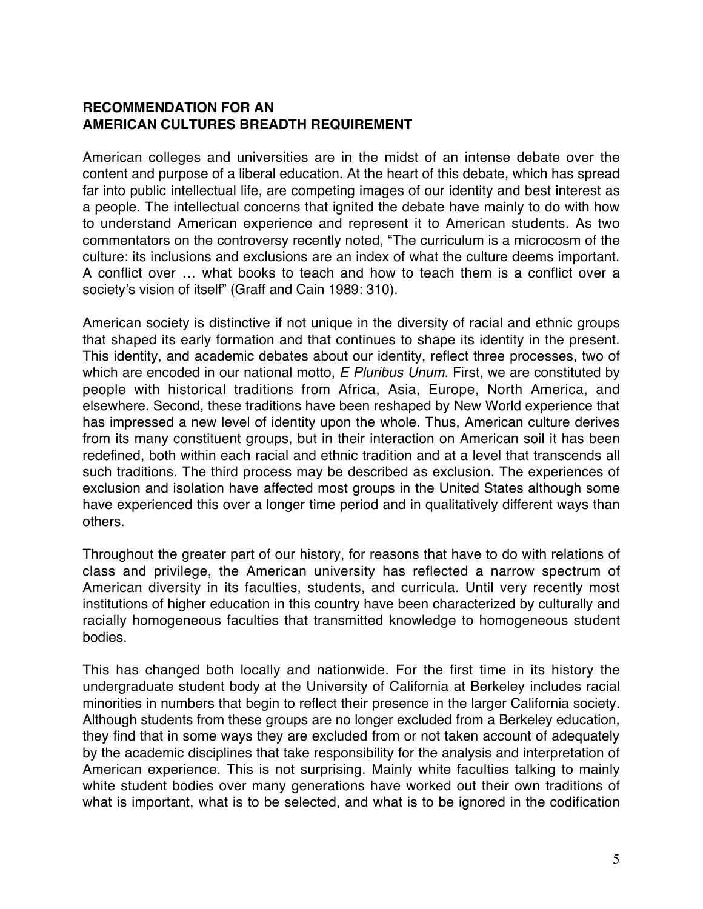#### **RECOMMENDATION FOR AN AMERICAN CULTURES BREADTH REQUIREMENT**

American colleges and universities are in the midst of an intense debate over the content and purpose of a liberal education. At the heart of this debate, which has spread far into public intellectual life, are competing images of our identity and best interest as a people. The intellectual concerns that ignited the debate have mainly to do with how to understand American experience and represent it to American students. As two commentators on the controversy recently noted, "The curriculum is a microcosm of the culture: its inclusions and exclusions are an index of what the culture deems important. A conflict over … what books to teach and how to teach them is a conflict over a society's vision of itself" (Graff and Cain 1989: 310).

American society is distinctive if not unique in the diversity of racial and ethnic groups that shaped its early formation and that continues to shape its identity in the present. This identity, and academic debates about our identity, reflect three processes, two of which are encoded in our national motto, E Pluribus Unum. First, we are constituted by people with historical traditions from Africa, Asia, Europe, North America, and elsewhere. Second, these traditions have been reshaped by New World experience that has impressed a new level of identity upon the whole. Thus, American culture derives from its many constituent groups, but in their interaction on American soil it has been redefined, both within each racial and ethnic tradition and at a level that transcends all such traditions. The third process may be described as exclusion. The experiences of exclusion and isolation have affected most groups in the United States although some have experienced this over a longer time period and in qualitatively different ways than others.

Throughout the greater part of our history, for reasons that have to do with relations of class and privilege, the American university has reflected a narrow spectrum of American diversity in its faculties, students, and curricula. Until very recently most institutions of higher education in this country have been characterized by culturally and racially homogeneous faculties that transmitted knowledge to homogeneous student bodies.

This has changed both locally and nationwide. For the first time in its history the undergraduate student body at the University of California at Berkeley includes racial minorities in numbers that begin to reflect their presence in the larger California society. Although students from these groups are no longer excluded from a Berkeley education, they find that in some ways they are excluded from or not taken account of adequately by the academic disciplines that take responsibility for the analysis and interpretation of American experience. This is not surprising. Mainly white faculties talking to mainly white student bodies over many generations have worked out their own traditions of what is important, what is to be selected, and what is to be ignored in the codification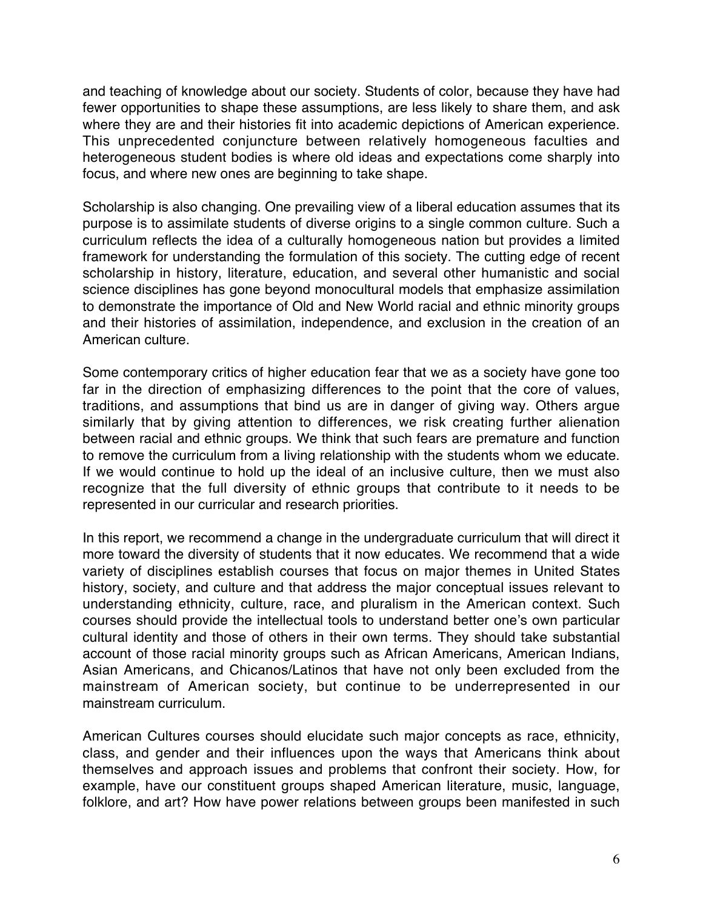and teaching of knowledge about our society. Students of color, because they have had fewer opportunities to shape these assumptions, are less likely to share them, and ask where they are and their histories fit into academic depictions of American experience. This unprecedented conjuncture between relatively homogeneous faculties and heterogeneous student bodies is where old ideas and expectations come sharply into focus, and where new ones are beginning to take shape.

Scholarship is also changing. One prevailing view of a liberal education assumes that its purpose is to assimilate students of diverse origins to a single common culture. Such a curriculum reflects the idea of a culturally homogeneous nation but provides a limited framework for understanding the formulation of this society. The cutting edge of recent scholarship in history, literature, education, and several other humanistic and social science disciplines has gone beyond monocultural models that emphasize assimilation to demonstrate the importance of Old and New World racial and ethnic minority groups and their histories of assimilation, independence, and exclusion in the creation of an American culture.

Some contemporary critics of higher education fear that we as a society have gone too far in the direction of emphasizing differences to the point that the core of values, traditions, and assumptions that bind us are in danger of giving way. Others argue similarly that by giving attention to differences, we risk creating further alienation between racial and ethnic groups. We think that such fears are premature and function to remove the curriculum from a living relationship with the students whom we educate. If we would continue to hold up the ideal of an inclusive culture, then we must also recognize that the full diversity of ethnic groups that contribute to it needs to be represented in our curricular and research priorities.

In this report, we recommend a change in the undergraduate curriculum that will direct it more toward the diversity of students that it now educates. We recommend that a wide variety of disciplines establish courses that focus on major themes in United States history, society, and culture and that address the major conceptual issues relevant to understanding ethnicity, culture, race, and pluralism in the American context. Such courses should provide the intellectual tools to understand better one's own particular cultural identity and those of others in their own terms. They should take substantial account of those racial minority groups such as African Americans, American Indians, Asian Americans, and Chicanos/Latinos that have not only been excluded from the mainstream of American society, but continue to be underrepresented in our mainstream curriculum.

American Cultures courses should elucidate such major concepts as race, ethnicity, class, and gender and their influences upon the ways that Americans think about themselves and approach issues and problems that confront their society. How, for example, have our constituent groups shaped American literature, music, language, folklore, and art? How have power relations between groups been manifested in such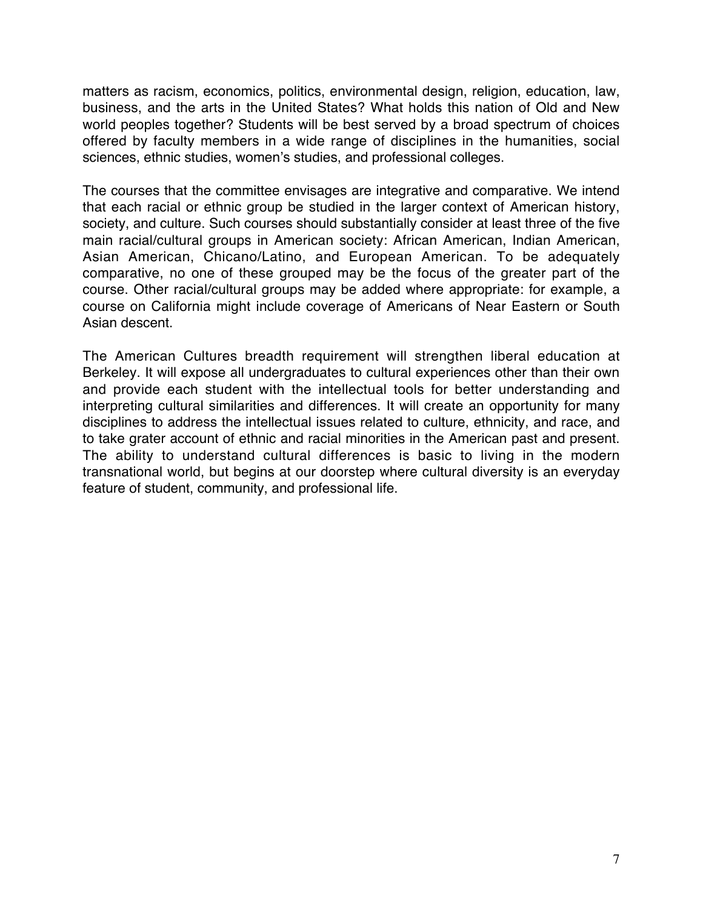matters as racism, economics, politics, environmental design, religion, education, law, business, and the arts in the United States? What holds this nation of Old and New world peoples together? Students will be best served by a broad spectrum of choices offered by faculty members in a wide range of disciplines in the humanities, social sciences, ethnic studies, women's studies, and professional colleges.

The courses that the committee envisages are integrative and comparative. We intend that each racial or ethnic group be studied in the larger context of American history, society, and culture. Such courses should substantially consider at least three of the five main racial/cultural groups in American society: African American, Indian American, Asian American, Chicano/Latino, and European American. To be adequately comparative, no one of these grouped may be the focus of the greater part of the course. Other racial/cultural groups may be added where appropriate: for example, a course on California might include coverage of Americans of Near Eastern or South Asian descent.

The American Cultures breadth requirement will strengthen liberal education at Berkeley. It will expose all undergraduates to cultural experiences other than their own and provide each student with the intellectual tools for better understanding and interpreting cultural similarities and differences. It will create an opportunity for many disciplines to address the intellectual issues related to culture, ethnicity, and race, and to take grater account of ethnic and racial minorities in the American past and present. The ability to understand cultural differences is basic to living in the modern transnational world, but begins at our doorstep where cultural diversity is an everyday feature of student, community, and professional life.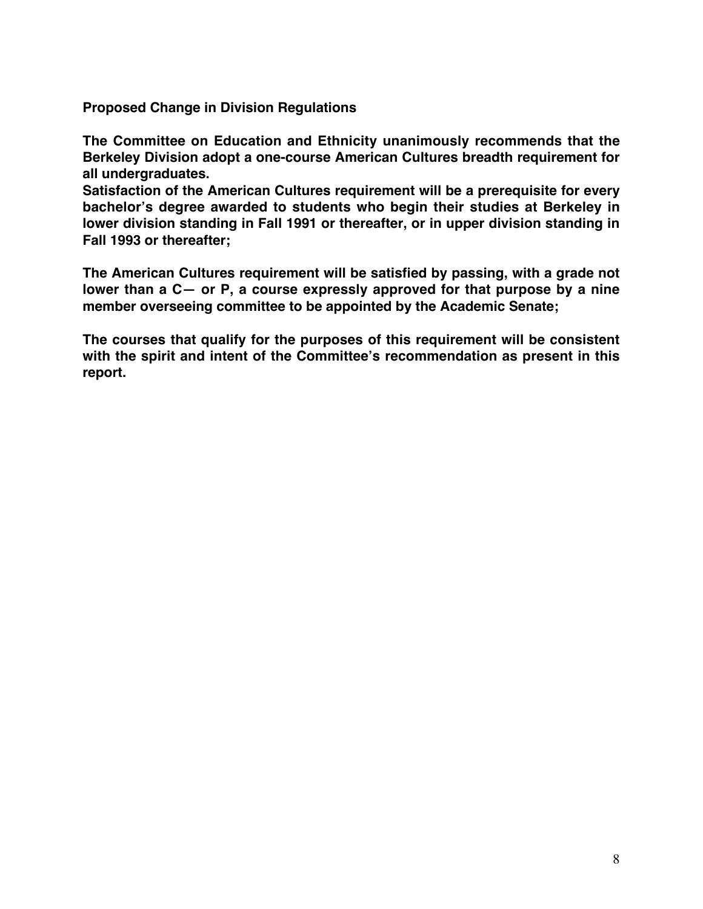**Proposed Change in Division Regulations**

**The Committee on Education and Ethnicity unanimously recommends that the Berkeley Division adopt a one-course American Cultures breadth requirement for all undergraduates.**

**Satisfaction of the American Cultures requirement will be a prerequisite for every bachelor's degree awarded to students who begin their studies at Berkeley in lower division standing in Fall 1991 or thereafter, or in upper division standing in Fall 1993 or thereafter;**

**The American Cultures requirement will be satisfied by passing, with a grade not lower than a C— or P, a course expressly approved for that purpose by a nine member overseeing committee to be appointed by the Academic Senate;**

**The courses that qualify for the purposes of this requirement will be consistent with the spirit and intent of the Committee's recommendation as present in this report.**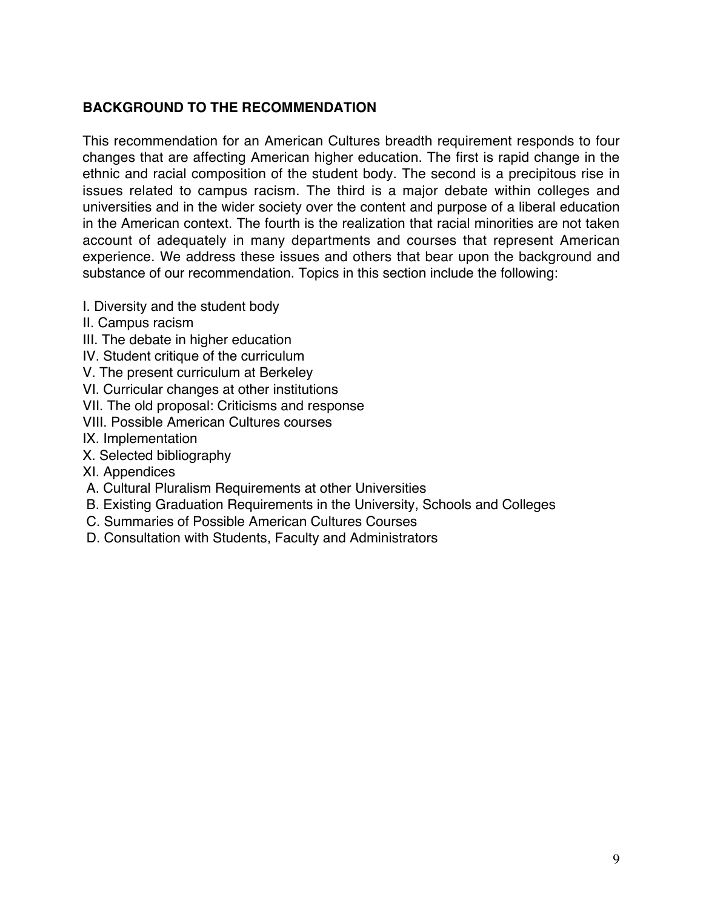# **BACKGROUND TO THE RECOMMENDATION**

This recommendation for an American Cultures breadth requirement responds to four changes that are affecting American higher education. The first is rapid change in the ethnic and racial composition of the student body. The second is a precipitous rise in issues related to campus racism. The third is a major debate within colleges and universities and in the wider society over the content and purpose of a liberal education in the American context. The fourth is the realization that racial minorities are not taken account of adequately in many departments and courses that represent American experience. We address these issues and others that bear upon the background and substance of our recommendation. Topics in this section include the following:

- I. Diversity and the student body
- II. Campus racism
- III. The debate in higher education
- IV. Student critique of the curriculum
- V. The present curriculum at Berkeley
- VI. Curricular changes at other institutions
- VII. The old proposal: Criticisms and response
- VIII. Possible American Cultures courses
- IX. Implementation
- X. Selected bibliography
- XI. Appendices
- A. Cultural Pluralism Requirements at other Universities
- B. Existing Graduation Requirements in the University, Schools and Colleges
- C. Summaries of Possible American Cultures Courses
- D. Consultation with Students, Faculty and Administrators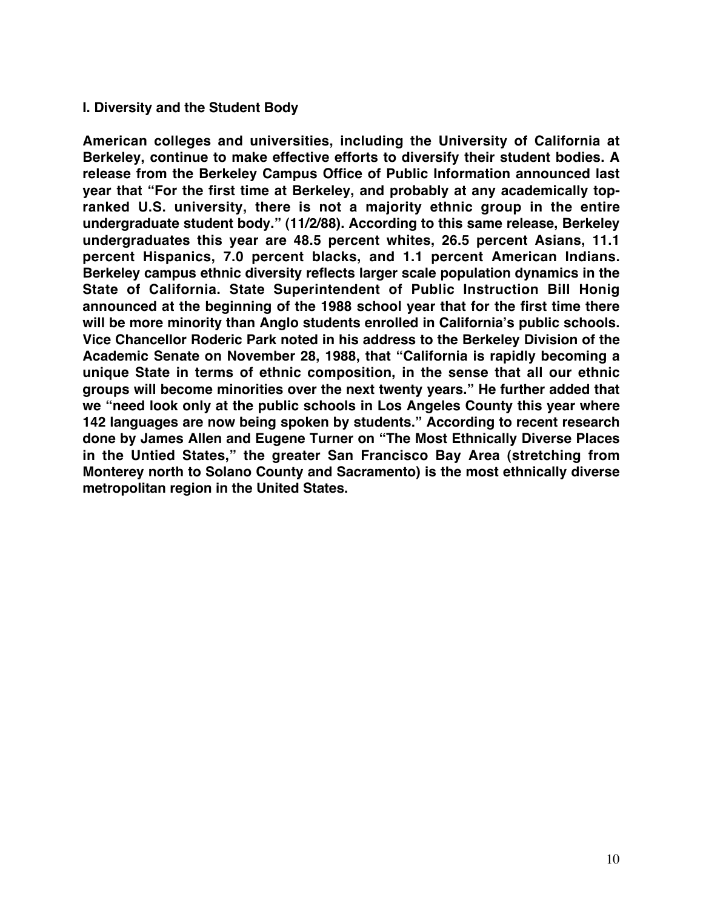#### **I. Diversity and the Student Body**

**American colleges and universities, including the University of California at Berkeley, continue to make effective efforts to diversify their student bodies. A release from the Berkeley Campus Office of Public Information announced last year that "For the first time at Berkeley, and probably at any academically topranked U.S. university, there is not a majority ethnic group in the entire undergraduate student body." (11/2/88). According to this same release, Berkeley undergraduates this year are 48.5 percent whites, 26.5 percent Asians, 11.1 percent Hispanics, 7.0 percent blacks, and 1.1 percent American Indians. Berkeley campus ethnic diversity reflects larger scale population dynamics in the State of California. State Superintendent of Public Instruction Bill Honig announced at the beginning of the 1988 school year that for the first time there will be more minority than Anglo students enrolled in California's public schools. Vice Chancellor Roderic Park noted in his address to the Berkeley Division of the Academic Senate on November 28, 1988, that "California is rapidly becoming a unique State in terms of ethnic composition, in the sense that all our ethnic groups will become minorities over the next twenty years." He further added that we "need look only at the public schools in Los Angeles County this year where 142 languages are now being spoken by students." According to recent research done by James Allen and Eugene Turner on "The Most Ethnically Diverse Places in the Untied States," the greater San Francisco Bay Area (stretching from Monterey north to Solano County and Sacramento) is the most ethnically diverse metropolitan region in the United States.**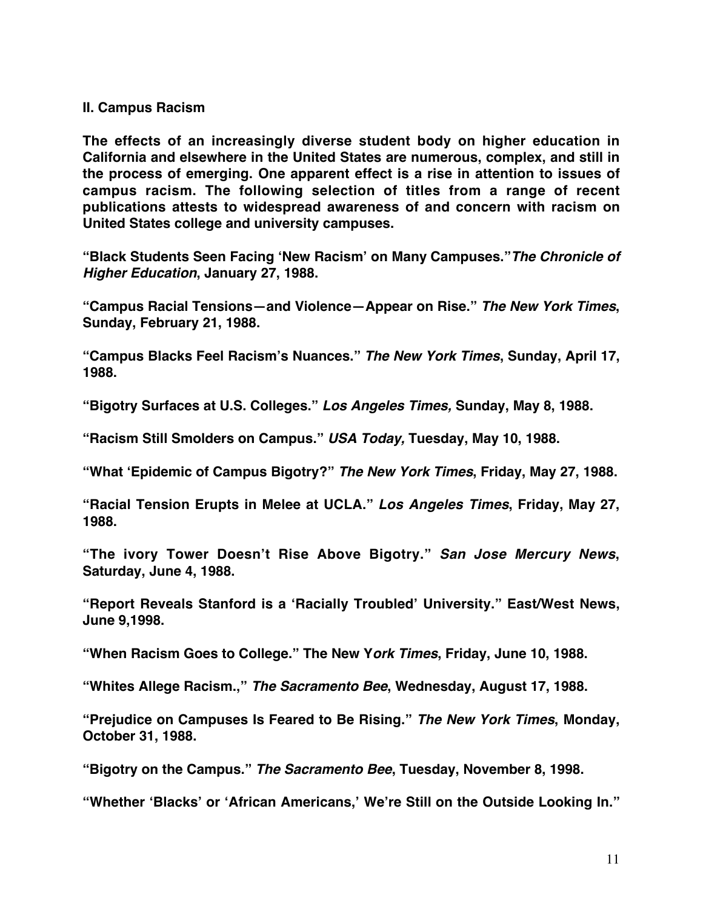#### **II. Campus Racism**

**The effects of an increasingly diverse student body on higher education in California and elsewhere in the United States are numerous, complex, and still in the process of emerging. One apparent effect is a rise in attention to issues of campus racism. The following selection of titles from a range of recent publications attests to widespread awareness of and concern with racism on United States college and university campuses.**

**"Black Students Seen Facing 'New Racism' on Many Campuses."The Chronicle of Higher Education, January 27, 1988.**

**"Campus Racial Tensions—and Violence—Appear on Rise." The New York Times, Sunday, February 21, 1988.**

**"Campus Blacks Feel Racism's Nuances." The New York Times, Sunday, April 17, 1988.**

**"Bigotry Surfaces at U.S. Colleges." Los Angeles Times, Sunday, May 8, 1988.**

**"Racism Still Smolders on Campus." USA Today, Tuesday, May 10, 1988.**

**"What 'Epidemic of Campus Bigotry?" The New York Times, Friday, May 27, 1988.**

**"Racial Tension Erupts in Melee at UCLA." Los Angeles Times, Friday, May 27, 1988.**

**"The ivory Tower Doesn't Rise Above Bigotry." San Jose Mercury News, Saturday, June 4, 1988.**

**"Report Reveals Stanford is a 'Racially Troubled' University." East/West News, June 9,1998.**

**"When Racism Goes to College." The New York Times, Friday, June 10, 1988.**

**"Whites Allege Racism.'" The Sacramento Bee, Wednesday, August 17, 1988.**

**"Prejudice on Campuses Is Feared to Be Rising." The New York Times, Monday, October 31, 1988.**

**"Bigotry on the Campus." The Sacramento Bee, Tuesday, November 8, 1998.**

**"Whether 'Blacks' or 'African Americans,' We're Still on the Outside Looking In."**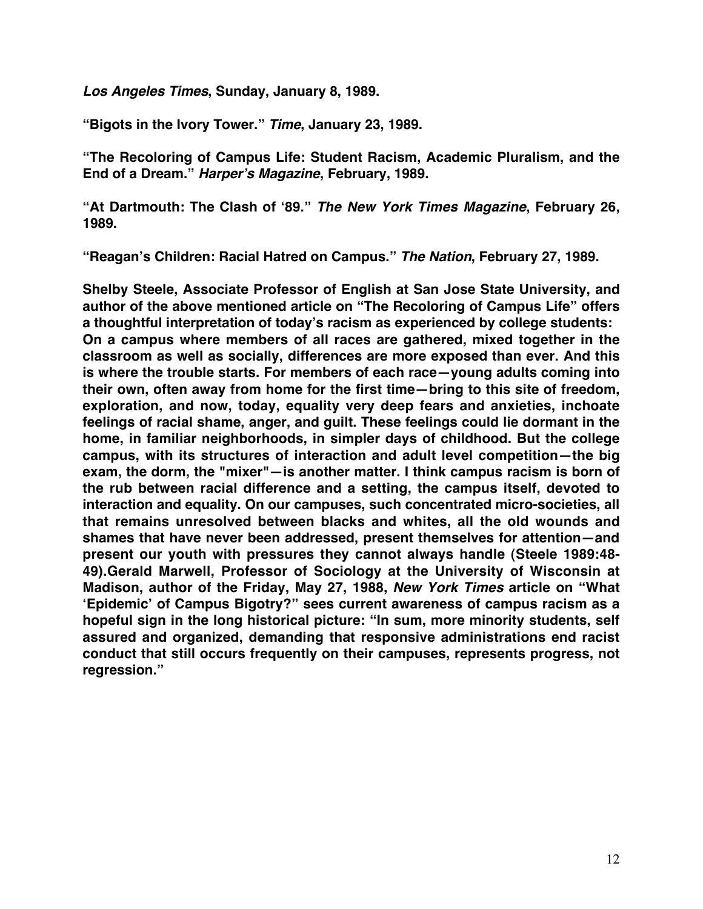**Los Angeles Times, Sunday, January 8, 1989.**

**"Bigots in the Ivory Tower." Time, January 23, 1989.**

**"The Recoloring of Campus Life: Student Racism, Academic Pluralism, and the End of a Dream." Harper's Magazine, February, 1989.**

**"At Dartmouth: The Clash of '89." The New York Times Magazine, February 26, 1989.**

**"Reagan's Children: Racial Hatred on Campus." The Nation, February 27, 1989.**

**Shelby Steele, Associate Professor of English at San Jose State University, and author of the above mentioned article on "The Recoloring of Campus Life" offers a thoughtful interpretation of today's racism as experienced by college students: On a campus where members of all races are gathered, mixed together in the classroom as well as socially, differences are more exposed than ever. And this is where the trouble starts. For members of each race—young adults coming into their own, often away from home for the first time—bring to this site of freedom, exploration, and now, today, equality very deep fears and anxieties, inchoate feelings of racial shame, anger, and guilt. These feelings could lie dormant in the home, in familiar neighborhoods, in simpler days of childhood. But the college campus, with its structures of interaction and adult level competition—the big exam, the dorm, the "mixer"—is another matter. I think campus racism is born of the rub between racial difference and a setting, the campus itself, devoted to interaction and equality. On our campuses, such concentrated micro-societies, all that remains unresolved between blacks and whites, all the old wounds and shames that have never been addressed, present themselves for attention—and present our youth with pressures they cannot always handle (Steele 1989:48- 49).Gerald Marwell, Professor of Sociology at the University of Wisconsin at Madison, author of the Friday, May 27, 1988, New York Times article on "What 'Epidemic' of Campus Bigotry?" sees current awareness of campus racism as a hopeful sign in the long historical picture: "In sum, more minority students, self assured and organized, demanding that responsive administrations end racist conduct that still occurs frequently on their campuses, represents progress, not regression."**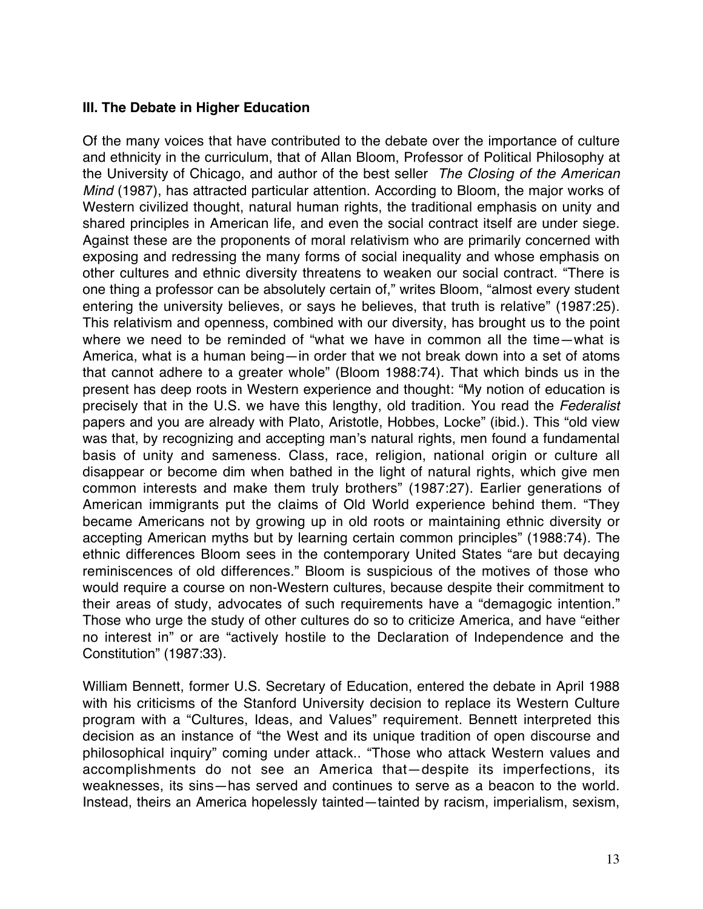## **III. The Debate in Higher Education**

Of the many voices that have contributed to the debate over the importance of culture and ethnicity in the curriculum, that of Allan Bloom, Professor of Political Philosophy at the University of Chicago, and author of the best seller The Closing of the American Mind (1987), has attracted particular attention. According to Bloom, the major works of Western civilized thought, natural human rights, the traditional emphasis on unity and shared principles in American life, and even the social contract itself are under siege. Against these are the proponents of moral relativism who are primarily concerned with exposing and redressing the many forms of social inequality and whose emphasis on other cultures and ethnic diversity threatens to weaken our social contract. "There is one thing a professor can be absolutely certain of," writes Bloom, "almost every student entering the university believes, or says he believes, that truth is relative" (1987:25). This relativism and openness, combined with our diversity, has brought us to the point where we need to be reminded of "what we have in common all the time—what is America, what is a human being—in order that we not break down into a set of atoms that cannot adhere to a greater whole" (Bloom 1988:74). That which binds us in the present has deep roots in Western experience and thought: "My notion of education is precisely that in the U.S. we have this lengthy, old tradition. You read the Federalist papers and you are already with Plato, Aristotle, Hobbes, Locke" (ibid.). This "old view was that, by recognizing and accepting man's natural rights, men found a fundamental basis of unity and sameness. Class, race, religion, national origin or culture all disappear or become dim when bathed in the light of natural rights, which give men common interests and make them truly brothers" (1987:27). Earlier generations of American immigrants put the claims of Old World experience behind them. "They became Americans not by growing up in old roots or maintaining ethnic diversity or accepting American myths but by learning certain common principles" (1988:74). The ethnic differences Bloom sees in the contemporary United States "are but decaying reminiscences of old differences." Bloom is suspicious of the motives of those who would require a course on non-Western cultures, because despite their commitment to their areas of study, advocates of such requirements have a "demagogic intention." Those who urge the study of other cultures do so to criticize America, and have "either no interest in" or are "actively hostile to the Declaration of Independence and the Constitution" (1987:33).

William Bennett, former U.S. Secretary of Education, entered the debate in April 1988 with his criticisms of the Stanford University decision to replace its Western Culture program with a "Cultures, Ideas, and Values" requirement. Bennett interpreted this decision as an instance of "the West and its unique tradition of open discourse and philosophical inquiry" coming under attack.. "Those who attack Western values and accomplishments do not see an America that—despite its imperfections, its weaknesses, its sins—has served and continues to serve as a beacon to the world. Instead, theirs an America hopelessly tainted—tainted by racism, imperialism, sexism,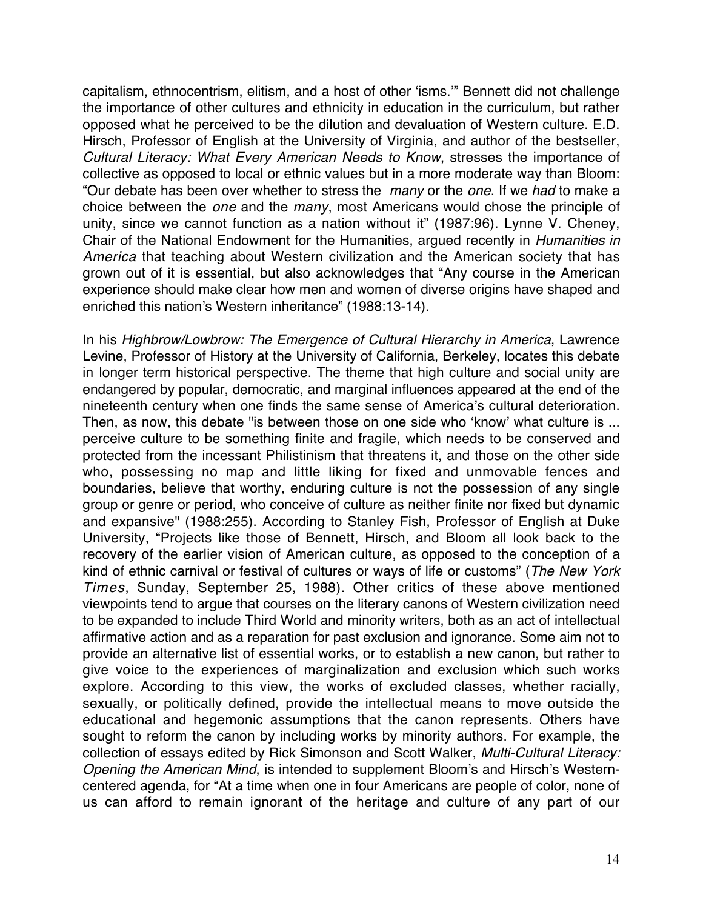capitalism, ethnocentrism, elitism, and a host of other 'isms.'" Bennett did not challenge the importance of other cultures and ethnicity in education in the curriculum, but rather opposed what he perceived to be the dilution and devaluation of Western culture. E.D. Hirsch, Professor of English at the University of Virginia, and author of the bestseller, Cultural Literacy: What Every American Needs to Know, stresses the importance of collective as opposed to local or ethnic values but in a more moderate way than Bloom: "Our debate has been over whether to stress the many or the one. If we had to make a choice between the one and the many, most Americans would chose the principle of unity, since we cannot function as a nation without it" (1987:96). Lynne V. Cheney, Chair of the National Endowment for the Humanities, argued recently in Humanities in America that teaching about Western civilization and the American society that has grown out of it is essential, but also acknowledges that "Any course in the American experience should make clear how men and women of diverse origins have shaped and enriched this nation's Western inheritance" (1988:13-14).

In his Highbrow/Lowbrow: The Emergence of Cultural Hierarchy in America, Lawrence Levine, Professor of History at the University of California, Berkeley, locates this debate in longer term historical perspective. The theme that high culture and social unity are endangered by popular, democratic, and marginal influences appeared at the end of the nineteenth century when one finds the same sense of America's cultural deterioration. Then, as now, this debate "is between those on one side who 'know' what culture is ... perceive culture to be something finite and fragile, which needs to be conserved and protected from the incessant Philistinism that threatens it, and those on the other side who, possessing no map and little liking for fixed and unmovable fences and boundaries, believe that worthy, enduring culture is not the possession of any single group or genre or period, who conceive of culture as neither finite nor fixed but dynamic and expansive" (1988:255). According to Stanley Fish, Professor of English at Duke University, "Projects like those of Bennett, Hirsch, and Bloom all look back to the recovery of the earlier vision of American culture, as opposed to the conception of a kind of ethnic carnival or festival of cultures or ways of life or customs" (The New York Times, Sunday, September 25, 1988). Other critics of these above mentioned viewpoints tend to argue that courses on the literary canons of Western civilization need to be expanded to include Third World and minority writers, both as an act of intellectual affirmative action and as a reparation for past exclusion and ignorance. Some aim not to provide an alternative list of essential works, or to establish a new canon, but rather to give voice to the experiences of marginalization and exclusion which such works explore. According to this view, the works of excluded classes, whether racially, sexually, or politically defined, provide the intellectual means to move outside the educational and hegemonic assumptions that the canon represents. Others have sought to reform the canon by including works by minority authors. For example, the collection of essays edited by Rick Simonson and Scott Walker, Multi-Cultural Literacy: Opening the American Mind, is intended to supplement Bloom's and Hirsch's Westerncentered agenda, for "At a time when one in four Americans are people of color, none of us can afford to remain ignorant of the heritage and culture of any part of our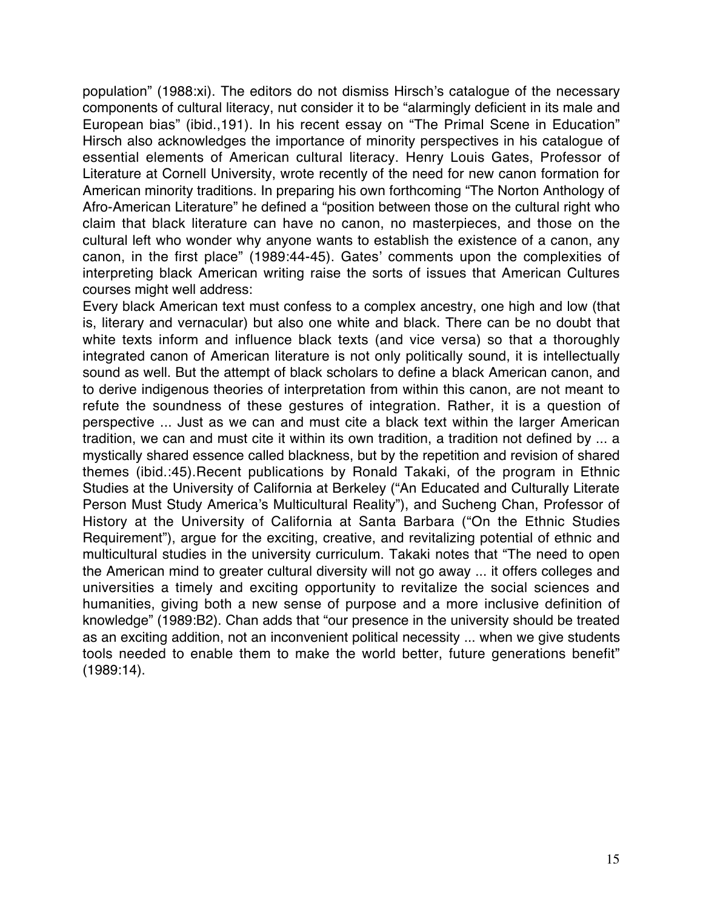population" (1988:xi). The editors do not dismiss Hirsch's catalogue of the necessary components of cultural literacy, nut consider it to be "alarmingly deficient in its male and European bias" (ibid.,191). In his recent essay on "The Primal Scene in Education" Hirsch also acknowledges the importance of minority perspectives in his catalogue of essential elements of American cultural literacy. Henry Louis Gates, Professor of Literature at Cornell University, wrote recently of the need for new canon formation for American minority traditions. In preparing his own forthcoming "The Norton Anthology of Afro-American Literature" he defined a "position between those on the cultural right who claim that black literature can have no canon, no masterpieces, and those on the cultural left who wonder why anyone wants to establish the existence of a canon, any canon, in the first place" (1989:44-45). Gates' comments upon the complexities of interpreting black American writing raise the sorts of issues that American Cultures courses might well address:

Every black American text must confess to a complex ancestry, one high and low (that is, literary and vernacular) but also one white and black. There can be no doubt that white texts inform and influence black texts (and vice versa) so that a thoroughly integrated canon of American literature is not only politically sound, it is intellectually sound as well. But the attempt of black scholars to define a black American canon, and to derive indigenous theories of interpretation from within this canon, are not meant to refute the soundness of these gestures of integration. Rather, it is a question of perspective ... Just as we can and must cite a black text within the larger American tradition, we can and must cite it within its own tradition, a tradition not defined by ... a mystically shared essence called blackness, but by the repetition and revision of shared themes (ibid.:45).Recent publications by Ronald Takaki, of the program in Ethnic Studies at the University of California at Berkeley ("An Educated and Culturally Literate Person Must Study America's Multicultural Reality"), and Sucheng Chan, Professor of History at the University of California at Santa Barbara ("On the Ethnic Studies Requirement"), argue for the exciting, creative, and revitalizing potential of ethnic and multicultural studies in the university curriculum. Takaki notes that "The need to open the American mind to greater cultural diversity will not go away ... it offers colleges and universities a timely and exciting opportunity to revitalize the social sciences and humanities, giving both a new sense of purpose and a more inclusive definition of knowledge" (1989:B2). Chan adds that "our presence in the university should be treated as an exciting addition, not an inconvenient political necessity ... when we give students tools needed to enable them to make the world better, future generations benefit" (1989:14).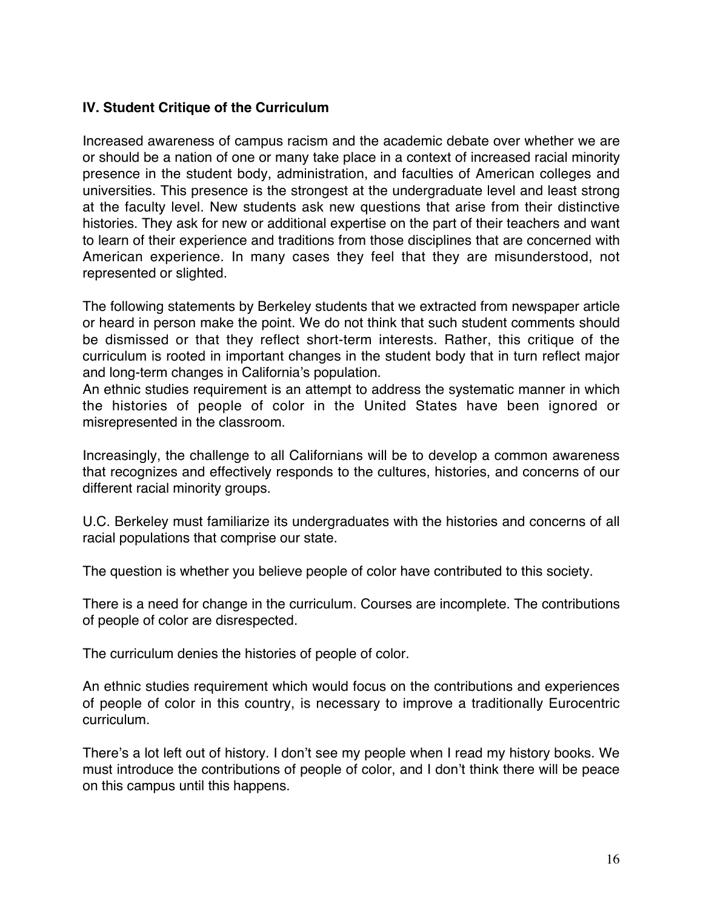## **IV. Student Critique of the Curriculum**

Increased awareness of campus racism and the academic debate over whether we are or should be a nation of one or many take place in a context of increased racial minority presence in the student body, administration, and faculties of American colleges and universities. This presence is the strongest at the undergraduate level and least strong at the faculty level. New students ask new questions that arise from their distinctive histories. They ask for new or additional expertise on the part of their teachers and want to learn of their experience and traditions from those disciplines that are concerned with American experience. In many cases they feel that they are misunderstood, not represented or slighted.

The following statements by Berkeley students that we extracted from newspaper article or heard in person make the point. We do not think that such student comments should be dismissed or that they reflect short-term interests. Rather, this critique of the curriculum is rooted in important changes in the student body that in turn reflect major and long-term changes in California's population.

An ethnic studies requirement is an attempt to address the systematic manner in which the histories of people of color in the United States have been ignored or misrepresented in the classroom.

Increasingly, the challenge to all Californians will be to develop a common awareness that recognizes and effectively responds to the cultures, histories, and concerns of our different racial minority groups.

U.C. Berkeley must familiarize its undergraduates with the histories and concerns of all racial populations that comprise our state.

The question is whether you believe people of color have contributed to this society.

There is a need for change in the curriculum. Courses are incomplete. The contributions of people of color are disrespected.

The curriculum denies the histories of people of color.

An ethnic studies requirement which would focus on the contributions and experiences of people of color in this country, is necessary to improve a traditionally Eurocentric curriculum.

There's a lot left out of history. I don't see my people when I read my history books. We must introduce the contributions of people of color, and I don't think there will be peace on this campus until this happens.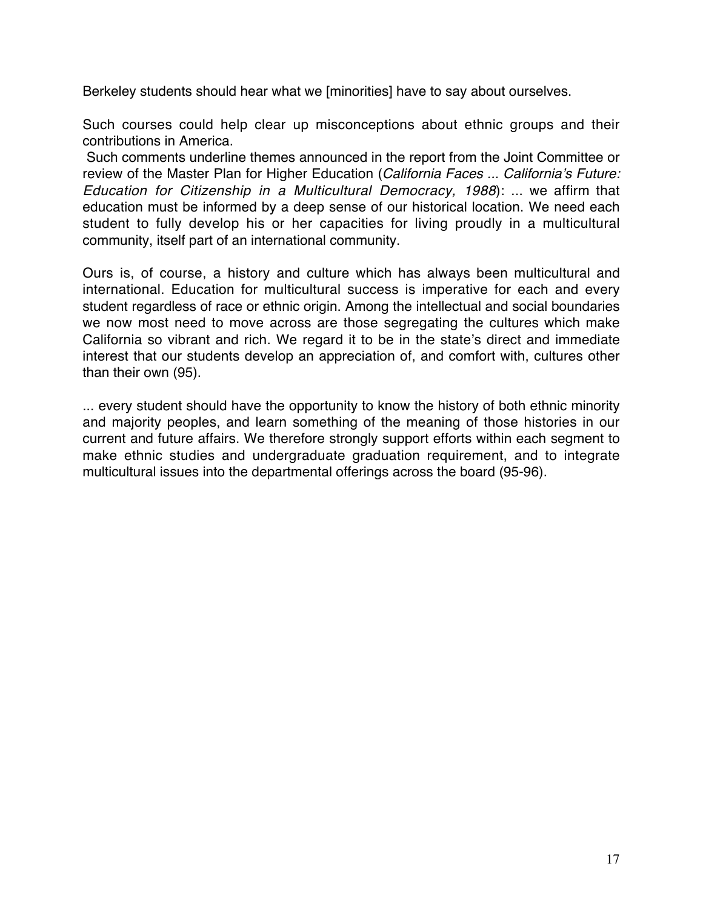Berkeley students should hear what we [minorities] have to say about ourselves.

Such courses could help clear up misconceptions about ethnic groups and their contributions in America.

Such comments underline themes announced in the report from the Joint Committee or review of the Master Plan for Higher Education (California Faces ... California's Future: Education for Citizenship in a Multicultural Democracy, 1988): ... we affirm that education must be informed by a deep sense of our historical location. We need each student to fully develop his or her capacities for living proudly in a multicultural community, itself part of an international community.

Ours is, of course, a history and culture which has always been multicultural and international. Education for multicultural success is imperative for each and every student regardless of race or ethnic origin. Among the intellectual and social boundaries we now most need to move across are those segregating the cultures which make California so vibrant and rich. We regard it to be in the state's direct and immediate interest that our students develop an appreciation of, and comfort with, cultures other than their own (95).

... every student should have the opportunity to know the history of both ethnic minority and majority peoples, and learn something of the meaning of those histories in our current and future affairs. We therefore strongly support efforts within each segment to make ethnic studies and undergraduate graduation requirement, and to integrate multicultural issues into the departmental offerings across the board (95-96).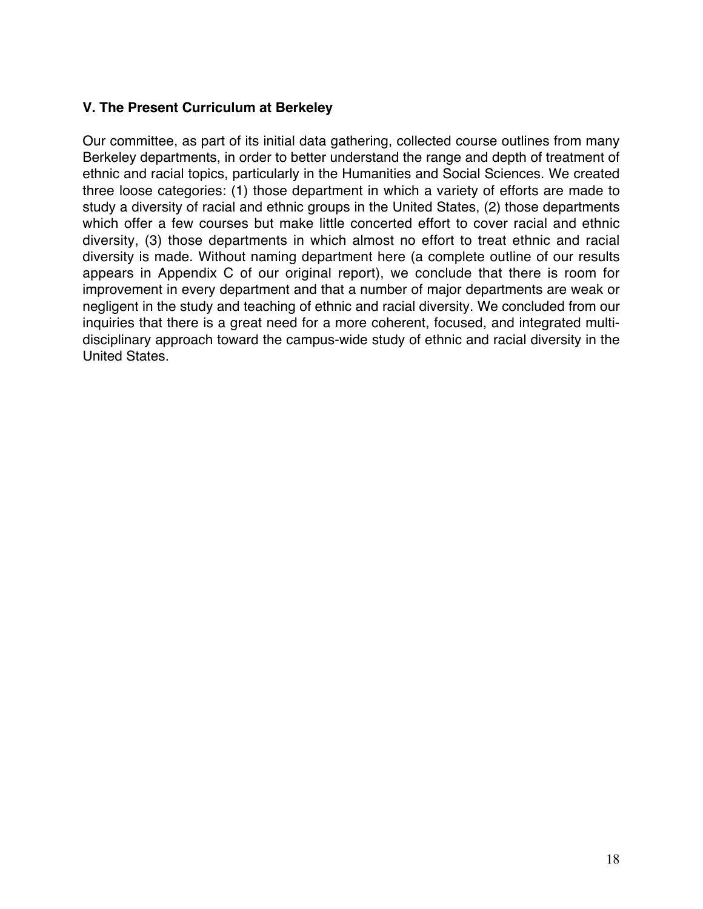## **V. The Present Curriculum at Berkeley**

Our committee, as part of its initial data gathering, collected course outlines from many Berkeley departments, in order to better understand the range and depth of treatment of ethnic and racial topics, particularly in the Humanities and Social Sciences. We created three loose categories: (1) those department in which a variety of efforts are made to study a diversity of racial and ethnic groups in the United States, (2) those departments which offer a few courses but make little concerted effort to cover racial and ethnic diversity, (3) those departments in which almost no effort to treat ethnic and racial diversity is made. Without naming department here (a complete outline of our results appears in Appendix C of our original report), we conclude that there is room for improvement in every department and that a number of major departments are weak or negligent in the study and teaching of ethnic and racial diversity. We concluded from our inquiries that there is a great need for a more coherent, focused, and integrated multidisciplinary approach toward the campus-wide study of ethnic and racial diversity in the United States.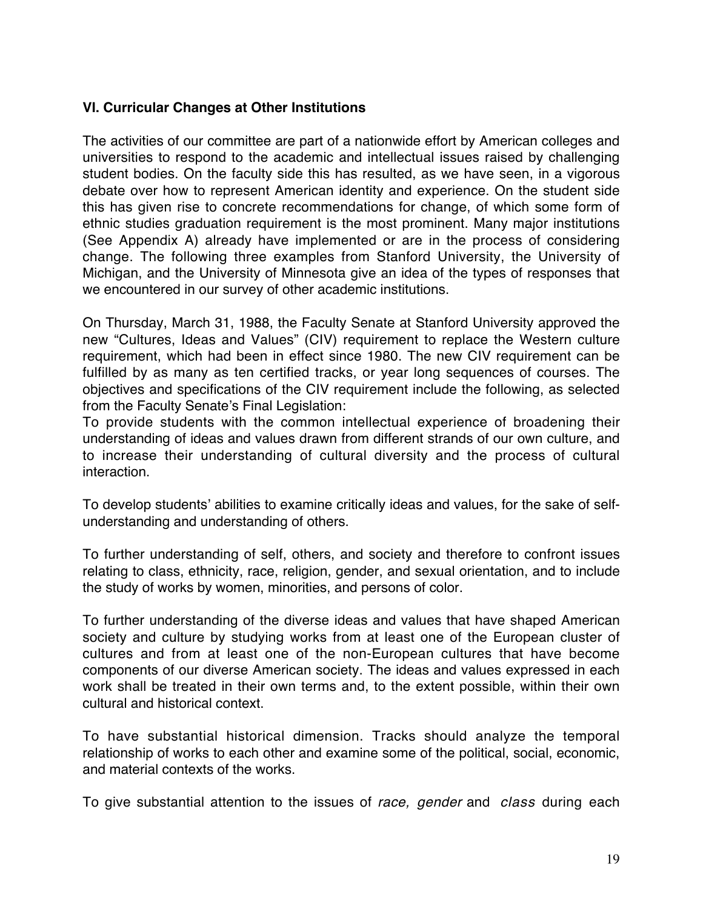## **VI. Curricular Changes at Other Institutions**

The activities of our committee are part of a nationwide effort by American colleges and universities to respond to the academic and intellectual issues raised by challenging student bodies. On the faculty side this has resulted, as we have seen, in a vigorous debate over how to represent American identity and experience. On the student side this has given rise to concrete recommendations for change, of which some form of ethnic studies graduation requirement is the most prominent. Many major institutions (See Appendix A) already have implemented or are in the process of considering change. The following three examples from Stanford University, the University of Michigan, and the University of Minnesota give an idea of the types of responses that we encountered in our survey of other academic institutions.

On Thursday, March 31, 1988, the Faculty Senate at Stanford University approved the new "Cultures, Ideas and Values" (CIV) requirement to replace the Western culture requirement, which had been in effect since 1980. The new CIV requirement can be fulfilled by as many as ten certified tracks, or year long sequences of courses. The objectives and specifications of the CIV requirement include the following, as selected from the Faculty Senate's Final Legislation:

To provide students with the common intellectual experience of broadening their understanding of ideas and values drawn from different strands of our own culture, and to increase their understanding of cultural diversity and the process of cultural interaction.

To develop students' abilities to examine critically ideas and values, for the sake of selfunderstanding and understanding of others.

To further understanding of self, others, and society and therefore to confront issues relating to class, ethnicity, race, religion, gender, and sexual orientation, and to include the study of works by women, minorities, and persons of color.

To further understanding of the diverse ideas and values that have shaped American society and culture by studying works from at least one of the European cluster of cultures and from at least one of the non-European cultures that have become components of our diverse American society. The ideas and values expressed in each work shall be treated in their own terms and, to the extent possible, within their own cultural and historical context.

To have substantial historical dimension. Tracks should analyze the temporal relationship of works to each other and examine some of the political, social, economic, and material contexts of the works.

To give substantial attention to the issues of race, gender and class during each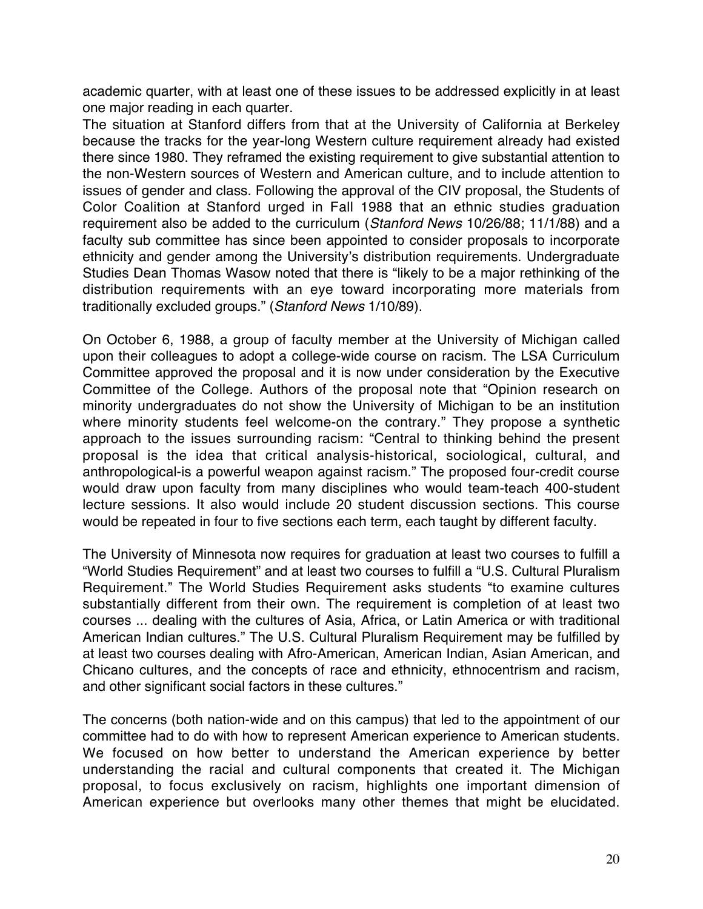academic quarter, with at least one of these issues to be addressed explicitly in at least one major reading in each quarter.

The situation at Stanford differs from that at the University of California at Berkeley because the tracks for the year-long Western culture requirement already had existed there since 1980. They reframed the existing requirement to give substantial attention to the non-Western sources of Western and American culture, and to include attention to issues of gender and class. Following the approval of the CIV proposal, the Students of Color Coalition at Stanford urged in Fall 1988 that an ethnic studies graduation requirement also be added to the curriculum (Stanford News 10/26/88; 11/1/88) and a faculty sub committee has since been appointed to consider proposals to incorporate ethnicity and gender among the University's distribution requirements. Undergraduate Studies Dean Thomas Wasow noted that there is "likely to be a major rethinking of the distribution requirements with an eye toward incorporating more materials from traditionally excluded groups." (Stanford News 1/10/89).

On October 6, 1988, a group of faculty member at the University of Michigan called upon their colleagues to adopt a college-wide course on racism. The LSA Curriculum Committee approved the proposal and it is now under consideration by the Executive Committee of the College. Authors of the proposal note that "Opinion research on minority undergraduates do not show the University of Michigan to be an institution where minority students feel welcome-on the contrary." They propose a synthetic approach to the issues surrounding racism: "Central to thinking behind the present proposal is the idea that critical analysis-historical, sociological, cultural, and anthropological-is a powerful weapon against racism." The proposed four-credit course would draw upon faculty from many disciplines who would team-teach 400-student lecture sessions. It also would include 20 student discussion sections. This course would be repeated in four to five sections each term, each taught by different faculty.

The University of Minnesota now requires for graduation at least two courses to fulfill a "World Studies Requirement" and at least two courses to fulfill a "U.S. Cultural Pluralism Requirement." The World Studies Requirement asks students "to examine cultures substantially different from their own. The requirement is completion of at least two courses ... dealing with the cultures of Asia, Africa, or Latin America or with traditional American Indian cultures." The U.S. Cultural Pluralism Requirement may be fulfilled by at least two courses dealing with Afro-American, American Indian, Asian American, and Chicano cultures, and the concepts of race and ethnicity, ethnocentrism and racism, and other significant social factors in these cultures."

The concerns (both nation-wide and on this campus) that led to the appointment of our committee had to do with how to represent American experience to American students. We focused on how better to understand the American experience by better understanding the racial and cultural components that created it. The Michigan proposal, to focus exclusively on racism, highlights one important dimension of American experience but overlooks many other themes that might be elucidated.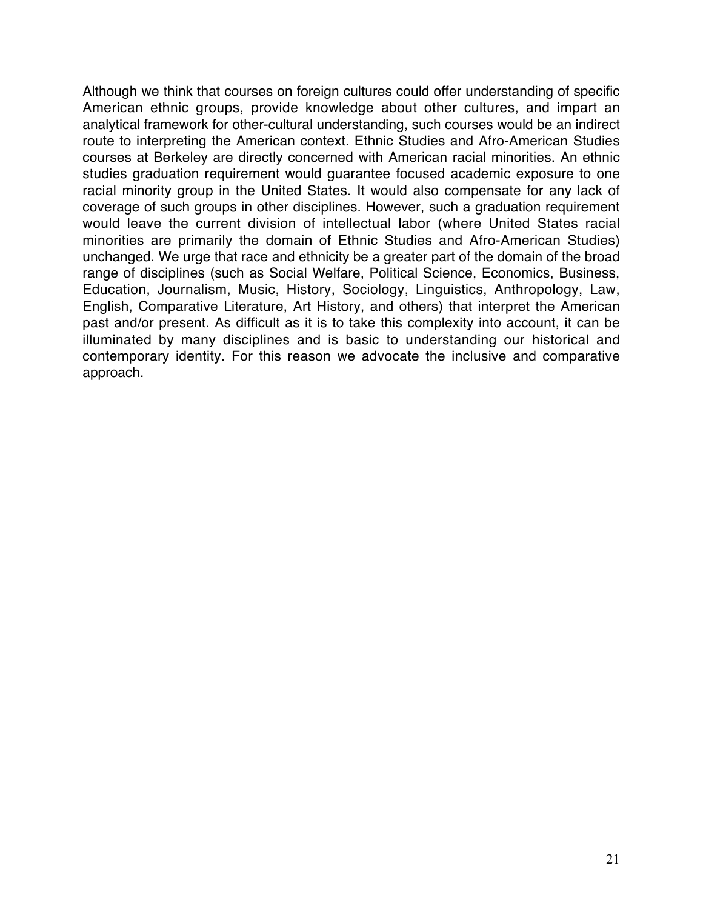Although we think that courses on foreign cultures could offer understanding of specific American ethnic groups, provide knowledge about other cultures, and impart an analytical framework for other-cultural understanding, such courses would be an indirect route to interpreting the American context. Ethnic Studies and Afro-American Studies courses at Berkeley are directly concerned with American racial minorities. An ethnic studies graduation requirement would guarantee focused academic exposure to one racial minority group in the United States. It would also compensate for any lack of coverage of such groups in other disciplines. However, such a graduation requirement would leave the current division of intellectual labor (where United States racial minorities are primarily the domain of Ethnic Studies and Afro-American Studies) unchanged. We urge that race and ethnicity be a greater part of the domain of the broad range of disciplines (such as Social Welfare, Political Science, Economics, Business, Education, Journalism, Music, History, Sociology, Linguistics, Anthropology, Law, English, Comparative Literature, Art History, and others) that interpret the American past and/or present. As difficult as it is to take this complexity into account, it can be illuminated by many disciplines and is basic to understanding our historical and contemporary identity. For this reason we advocate the inclusive and comparative approach.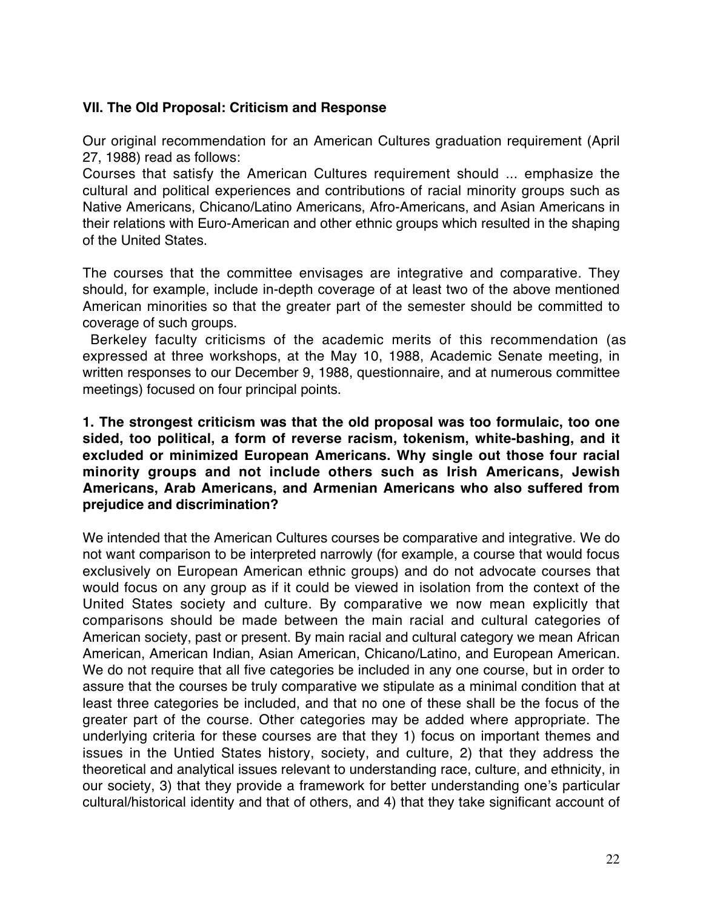## **VII. The Old Proposal: Criticism and Response**

Our original recommendation for an American Cultures graduation requirement (April 27, 1988) read as follows:

Courses that satisfy the American Cultures requirement should ... emphasize the cultural and political experiences and contributions of racial minority groups such as Native Americans, Chicano/Latino Americans, Afro-Americans, and Asian Americans in their relations with Euro-American and other ethnic groups which resulted in the shaping of the United States.

The courses that the committee envisages are integrative and comparative. They should, for example, include in-depth coverage of at least two of the above mentioned American minorities so that the greater part of the semester should be committed to coverage of such groups.

Berkeley faculty criticisms of the academic merits of this recommendation (as expressed at three workshops, at the May 10, 1988, Academic Senate meeting, in written responses to our December 9, 1988, questionnaire, and at numerous committee meetings) focused on four principal points.

#### **1. The strongest criticism was that the old proposal was too formulaic, too one sided, too political, a form of reverse racism, tokenism, white-bashing, and it excluded or minimized European Americans. Why single out those four racial minority groups and not include others such as Irish Americans, Jewish Americans, Arab Americans, and Armenian Americans who also suffered from prejudice and discrimination?**

We intended that the American Cultures courses be comparative and integrative. We do not want comparison to be interpreted narrowly (for example, a course that would focus exclusively on European American ethnic groups) and do not advocate courses that would focus on any group as if it could be viewed in isolation from the context of the United States society and culture. By comparative we now mean explicitly that comparisons should be made between the main racial and cultural categories of American society, past or present. By main racial and cultural category we mean African American, American Indian, Asian American, Chicano/Latino, and European American. We do not require that all five categories be included in any one course, but in order to assure that the courses be truly comparative we stipulate as a minimal condition that at least three categories be included, and that no one of these shall be the focus of the greater part of the course. Other categories may be added where appropriate. The underlying criteria for these courses are that they 1) focus on important themes and issues in the Untied States history, society, and culture, 2) that they address the theoretical and analytical issues relevant to understanding race, culture, and ethnicity, in our society, 3) that they provide a framework for better understanding one's particular cultural/historical identity and that of others, and 4) that they take significant account of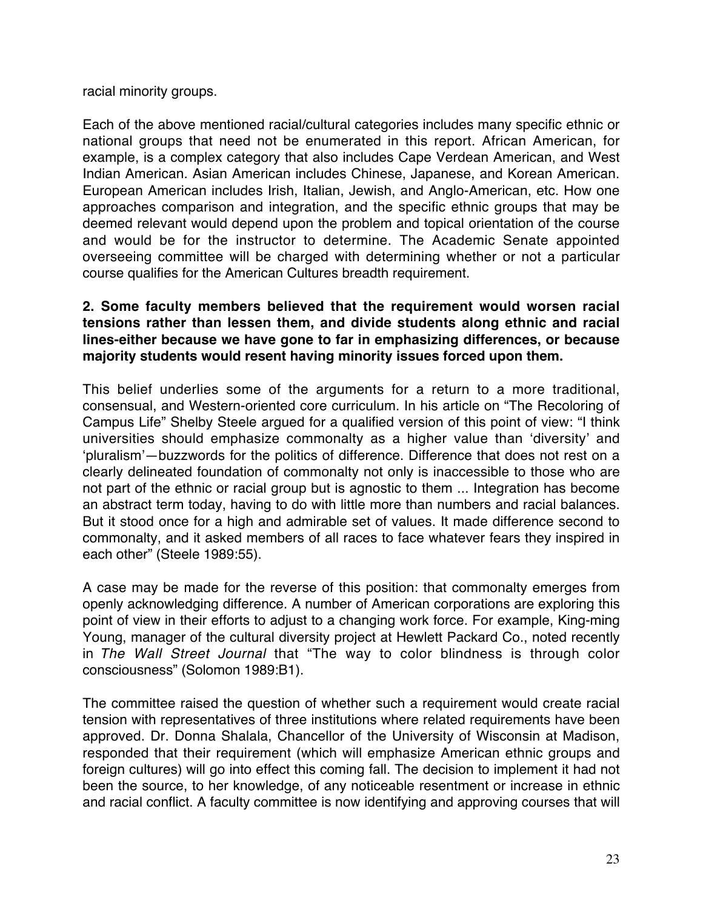racial minority groups.

Each of the above mentioned racial/cultural categories includes many specific ethnic or national groups that need not be enumerated in this report. African American, for example, is a complex category that also includes Cape Verdean American, and West Indian American. Asian American includes Chinese, Japanese, and Korean American. European American includes Irish, Italian, Jewish, and Anglo-American, etc. How one approaches comparison and integration, and the specific ethnic groups that may be deemed relevant would depend upon the problem and topical orientation of the course and would be for the instructor to determine. The Academic Senate appointed overseeing committee will be charged with determining whether or not a particular course qualifies for the American Cultures breadth requirement.

## **2. Some faculty members believed that the requirement would worsen racial tensions rather than lessen them, and divide students along ethnic and racial lines-either because we have gone to far in emphasizing differences, or because majority students would resent having minority issues forced upon them.**

This belief underlies some of the arguments for a return to a more traditional, consensual, and Western-oriented core curriculum. In his article on "The Recoloring of Campus Life" Shelby Steele argued for a qualified version of this point of view: "I think universities should emphasize commonalty as a higher value than 'diversity' and 'pluralism'—buzzwords for the politics of difference. Difference that does not rest on a clearly delineated foundation of commonalty not only is inaccessible to those who are not part of the ethnic or racial group but is agnostic to them ... Integration has become an abstract term today, having to do with little more than numbers and racial balances. But it stood once for a high and admirable set of values. It made difference second to commonalty, and it asked members of all races to face whatever fears they inspired in each other" (Steele 1989:55).

A case may be made for the reverse of this position: that commonalty emerges from openly acknowledging difference. A number of American corporations are exploring this point of view in their efforts to adjust to a changing work force. For example, King-ming Young, manager of the cultural diversity project at Hewlett Packard Co., noted recently in The Wall Street Journal that "The way to color blindness is through color consciousness" (Solomon 1989:B1).

The committee raised the question of whether such a requirement would create racial tension with representatives of three institutions where related requirements have been approved. Dr. Donna Shalala, Chancellor of the University of Wisconsin at Madison, responded that their requirement (which will emphasize American ethnic groups and foreign cultures) will go into effect this coming fall. The decision to implement it had not been the source, to her knowledge, of any noticeable resentment or increase in ethnic and racial conflict. A faculty committee is now identifying and approving courses that will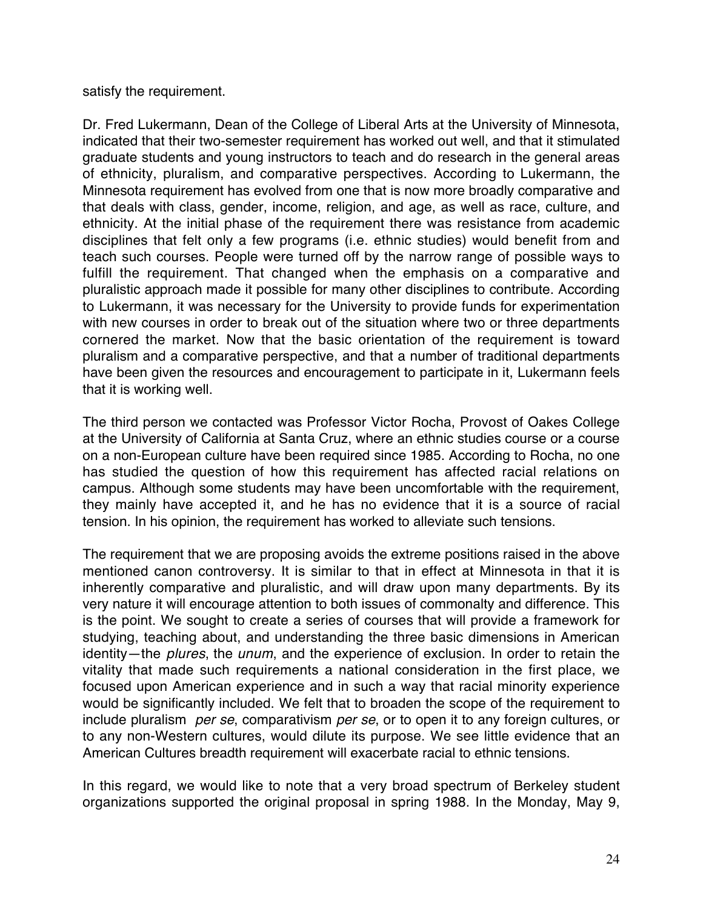satisfy the requirement.

Dr. Fred Lukermann, Dean of the College of Liberal Arts at the University of Minnesota, indicated that their two-semester requirement has worked out well, and that it stimulated graduate students and young instructors to teach and do research in the general areas of ethnicity, pluralism, and comparative perspectives. According to Lukermann, the Minnesota requirement has evolved from one that is now more broadly comparative and that deals with class, gender, income, religion, and age, as well as race, culture, and ethnicity. At the initial phase of the requirement there was resistance from academic disciplines that felt only a few programs (i.e. ethnic studies) would benefit from and teach such courses. People were turned off by the narrow range of possible ways to fulfill the requirement. That changed when the emphasis on a comparative and pluralistic approach made it possible for many other disciplines to contribute. According to Lukermann, it was necessary for the University to provide funds for experimentation with new courses in order to break out of the situation where two or three departments cornered the market. Now that the basic orientation of the requirement is toward pluralism and a comparative perspective, and that a number of traditional departments have been given the resources and encouragement to participate in it, Lukermann feels that it is working well.

The third person we contacted was Professor Victor Rocha, Provost of Oakes College at the University of California at Santa Cruz, where an ethnic studies course or a course on a non-European culture have been required since 1985. According to Rocha, no one has studied the question of how this requirement has affected racial relations on campus. Although some students may have been uncomfortable with the requirement, they mainly have accepted it, and he has no evidence that it is a source of racial tension. In his opinion, the requirement has worked to alleviate such tensions.

The requirement that we are proposing avoids the extreme positions raised in the above mentioned canon controversy. It is similar to that in effect at Minnesota in that it is inherently comparative and pluralistic, and will draw upon many departments. By its very nature it will encourage attention to both issues of commonalty and difference. This is the point. We sought to create a series of courses that will provide a framework for studying, teaching about, and understanding the three basic dimensions in American identity—the plures, the unum, and the experience of exclusion. In order to retain the vitality that made such requirements a national consideration in the first place, we focused upon American experience and in such a way that racial minority experience would be significantly included. We felt that to broaden the scope of the requirement to include pluralism per se, comparativism per se, or to open it to any foreign cultures, or to any non-Western cultures, would dilute its purpose. We see little evidence that an American Cultures breadth requirement will exacerbate racial to ethnic tensions.

In this regard, we would like to note that a very broad spectrum of Berkeley student organizations supported the original proposal in spring 1988. In the Monday, May 9,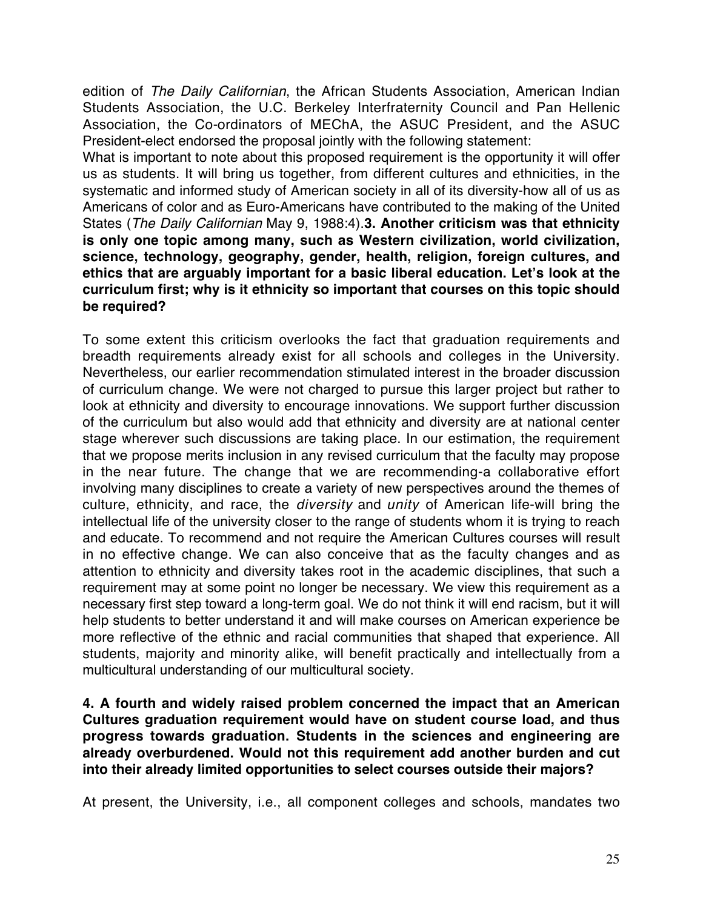edition of The Daily Californian, the African Students Association, American Indian Students Association, the U.C. Berkeley Interfraternity Council and Pan Hellenic Association, the Co-ordinators of MEChA, the ASUC President, and the ASUC President-elect endorsed the proposal jointly with the following statement:

What is important to note about this proposed requirement is the opportunity it will offer us as students. It will bring us together, from different cultures and ethnicities, in the systematic and informed study of American society in all of its diversity-how all of us as Americans of color and as Euro-Americans have contributed to the making of the United States (The Daily Californian May 9, 1988:4).**3. Another criticism was that ethnicity is only one topic among many, such as Western civilization, world civilization, science, technology, geography, gender, health, religion, foreign cultures, and ethics that are arguably important for a basic liberal education. Let's look at the curriculum first; why is it ethnicity so important that courses on this topic should be required?**

To some extent this criticism overlooks the fact that graduation requirements and breadth requirements already exist for all schools and colleges in the University. Nevertheless, our earlier recommendation stimulated interest in the broader discussion of curriculum change. We were not charged to pursue this larger project but rather to look at ethnicity and diversity to encourage innovations. We support further discussion of the curriculum but also would add that ethnicity and diversity are at national center stage wherever such discussions are taking place. In our estimation, the requirement that we propose merits inclusion in any revised curriculum that the faculty may propose in the near future. The change that we are recommending-a collaborative effort involving many disciplines to create a variety of new perspectives around the themes of culture, ethnicity, and race, the *diversity* and *unity* of American life-will bring the intellectual life of the university closer to the range of students whom it is trying to reach and educate. To recommend and not require the American Cultures courses will result in no effective change. We can also conceive that as the faculty changes and as attention to ethnicity and diversity takes root in the academic disciplines, that such a requirement may at some point no longer be necessary. We view this requirement as a necessary first step toward a long-term goal. We do not think it will end racism, but it will help students to better understand it and will make courses on American experience be more reflective of the ethnic and racial communities that shaped that experience. All students, majority and minority alike, will benefit practically and intellectually from a multicultural understanding of our multicultural society.

**4. A fourth and widely raised problem concerned the impact that an American Cultures graduation requirement would have on student course load, and thus progress towards graduation. Students in the sciences and engineering are already overburdened. Would not this requirement add another burden and cut into their already limited opportunities to select courses outside their majors?**

At present, the University, i.e., all component colleges and schools, mandates two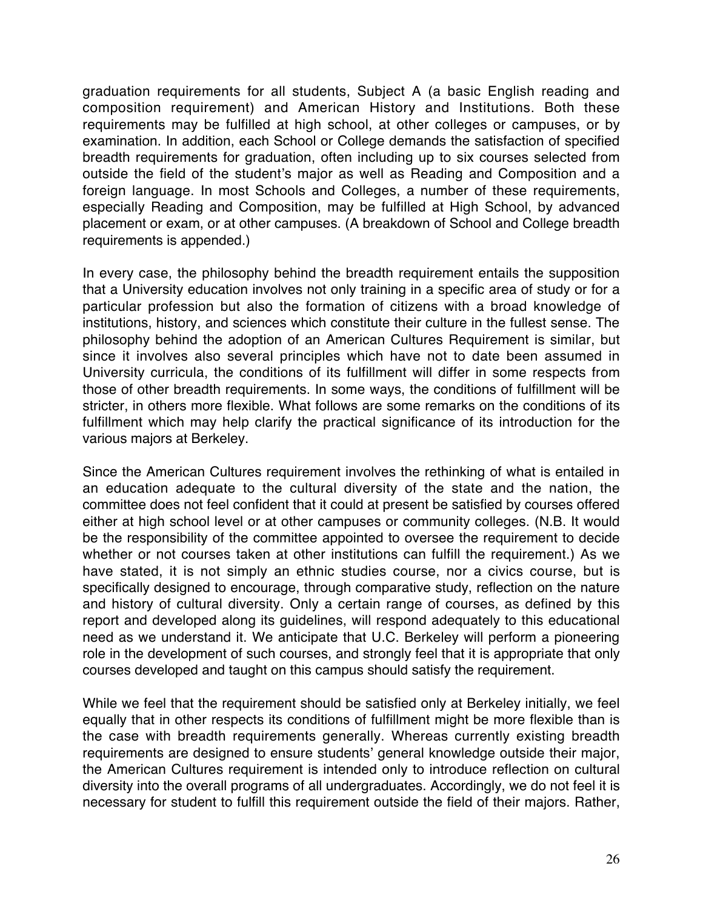graduation requirements for all students, Subject A (a basic English reading and composition requirement) and American History and Institutions. Both these requirements may be fulfilled at high school, at other colleges or campuses, or by examination. In addition, each School or College demands the satisfaction of specified breadth requirements for graduation, often including up to six courses selected from outside the field of the student's major as well as Reading and Composition and a foreign language. In most Schools and Colleges, a number of these requirements, especially Reading and Composition, may be fulfilled at High School, by advanced placement or exam, or at other campuses. (A breakdown of School and College breadth requirements is appended.)

In every case, the philosophy behind the breadth requirement entails the supposition that a University education involves not only training in a specific area of study or for a particular profession but also the formation of citizens with a broad knowledge of institutions, history, and sciences which constitute their culture in the fullest sense. The philosophy behind the adoption of an American Cultures Requirement is similar, but since it involves also several principles which have not to date been assumed in University curricula, the conditions of its fulfillment will differ in some respects from those of other breadth requirements. In some ways, the conditions of fulfillment will be stricter, in others more flexible. What follows are some remarks on the conditions of its fulfillment which may help clarify the practical significance of its introduction for the various majors at Berkeley.

Since the American Cultures requirement involves the rethinking of what is entailed in an education adequate to the cultural diversity of the state and the nation, the committee does not feel confident that it could at present be satisfied by courses offered either at high school level or at other campuses or community colleges. (N.B. It would be the responsibility of the committee appointed to oversee the requirement to decide whether or not courses taken at other institutions can fulfill the requirement.) As we have stated, it is not simply an ethnic studies course, nor a civics course, but is specifically designed to encourage, through comparative study, reflection on the nature and history of cultural diversity. Only a certain range of courses, as defined by this report and developed along its guidelines, will respond adequately to this educational need as we understand it. We anticipate that U.C. Berkeley will perform a pioneering role in the development of such courses, and strongly feel that it is appropriate that only courses developed and taught on this campus should satisfy the requirement.

While we feel that the requirement should be satisfied only at Berkeley initially, we feel equally that in other respects its conditions of fulfillment might be more flexible than is the case with breadth requirements generally. Whereas currently existing breadth requirements are designed to ensure students' general knowledge outside their major, the American Cultures requirement is intended only to introduce reflection on cultural diversity into the overall programs of all undergraduates. Accordingly, we do not feel it is necessary for student to fulfill this requirement outside the field of their majors. Rather,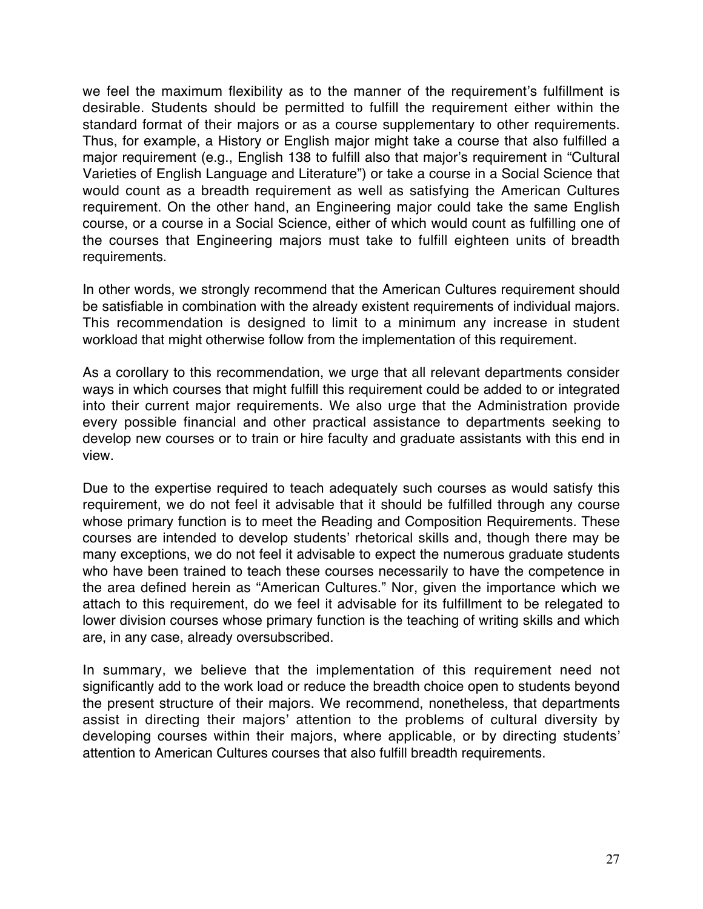we feel the maximum flexibility as to the manner of the requirement's fulfillment is desirable. Students should be permitted to fulfill the requirement either within the standard format of their majors or as a course supplementary to other requirements. Thus, for example, a History or English major might take a course that also fulfilled a major requirement (e.g., English 138 to fulfill also that major's requirement in "Cultural Varieties of English Language and Literature") or take a course in a Social Science that would count as a breadth requirement as well as satisfying the American Cultures requirement. On the other hand, an Engineering major could take the same English course, or a course in a Social Science, either of which would count as fulfilling one of the courses that Engineering majors must take to fulfill eighteen units of breadth requirements.

In other words, we strongly recommend that the American Cultures requirement should be satisfiable in combination with the already existent requirements of individual majors. This recommendation is designed to limit to a minimum any increase in student workload that might otherwise follow from the implementation of this requirement.

As a corollary to this recommendation, we urge that all relevant departments consider ways in which courses that might fulfill this requirement could be added to or integrated into their current major requirements. We also urge that the Administration provide every possible financial and other practical assistance to departments seeking to develop new courses or to train or hire faculty and graduate assistants with this end in view.

Due to the expertise required to teach adequately such courses as would satisfy this requirement, we do not feel it advisable that it should be fulfilled through any course whose primary function is to meet the Reading and Composition Requirements. These courses are intended to develop students' rhetorical skills and, though there may be many exceptions, we do not feel it advisable to expect the numerous graduate students who have been trained to teach these courses necessarily to have the competence in the area defined herein as "American Cultures." Nor, given the importance which we attach to this requirement, do we feel it advisable for its fulfillment to be relegated to lower division courses whose primary function is the teaching of writing skills and which are, in any case, already oversubscribed.

In summary, we believe that the implementation of this requirement need not significantly add to the work load or reduce the breadth choice open to students beyond the present structure of their majors. We recommend, nonetheless, that departments assist in directing their majors' attention to the problems of cultural diversity by developing courses within their majors, where applicable, or by directing students' attention to American Cultures courses that also fulfill breadth requirements.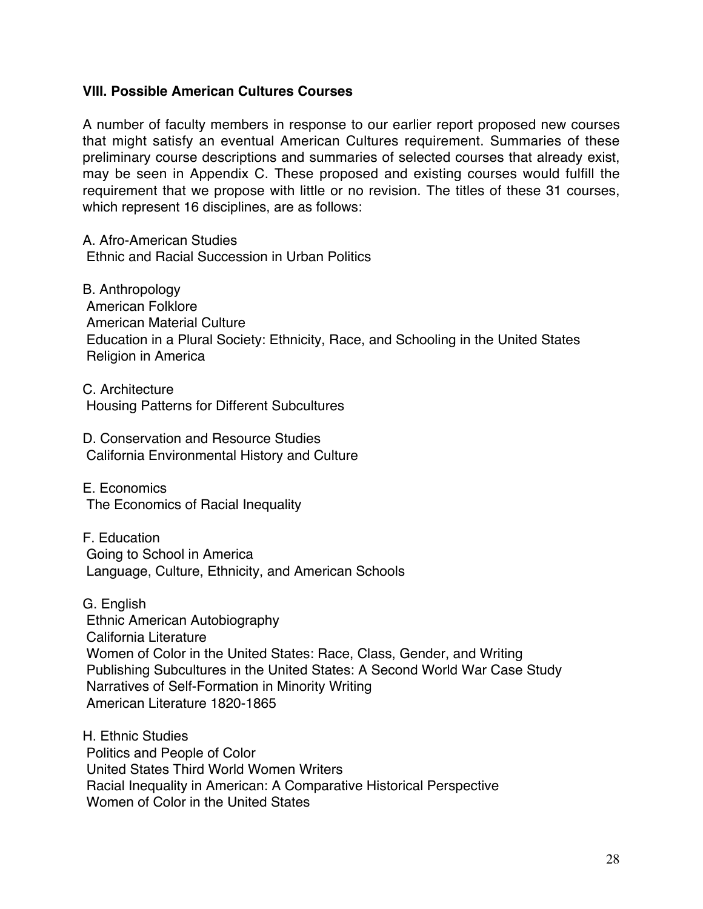#### **VIII. Possible American Cultures Courses**

A number of faculty members in response to our earlier report proposed new courses that might satisfy an eventual American Cultures requirement. Summaries of these preliminary course descriptions and summaries of selected courses that already exist, may be seen in Appendix C. These proposed and existing courses would fulfill the requirement that we propose with little or no revision. The titles of these 31 courses, which represent 16 disciplines, are as follows:

A. Afro-American Studies Ethnic and Racial Succession in Urban Politics

B. Anthropology American Folklore American Material Culture Education in a Plural Society: Ethnicity, Race, and Schooling in the United States Religion in America

C. Architecture Housing Patterns for Different Subcultures

D. Conservation and Resource Studies California Environmental History and Culture

E. Economics The Economics of Racial Inequality

F. Education Going to School in America Language, Culture, Ethnicity, and American Schools

G. English Ethnic American Autobiography California Literature Women of Color in the United States: Race, Class, Gender, and Writing Publishing Subcultures in the United States: A Second World War Case Study Narratives of Self-Formation in Minority Writing American Literature 1820-1865

H. Ethnic Studies Politics and People of Color United States Third World Women Writers Racial Inequality in American: A Comparative Historical Perspective Women of Color in the United States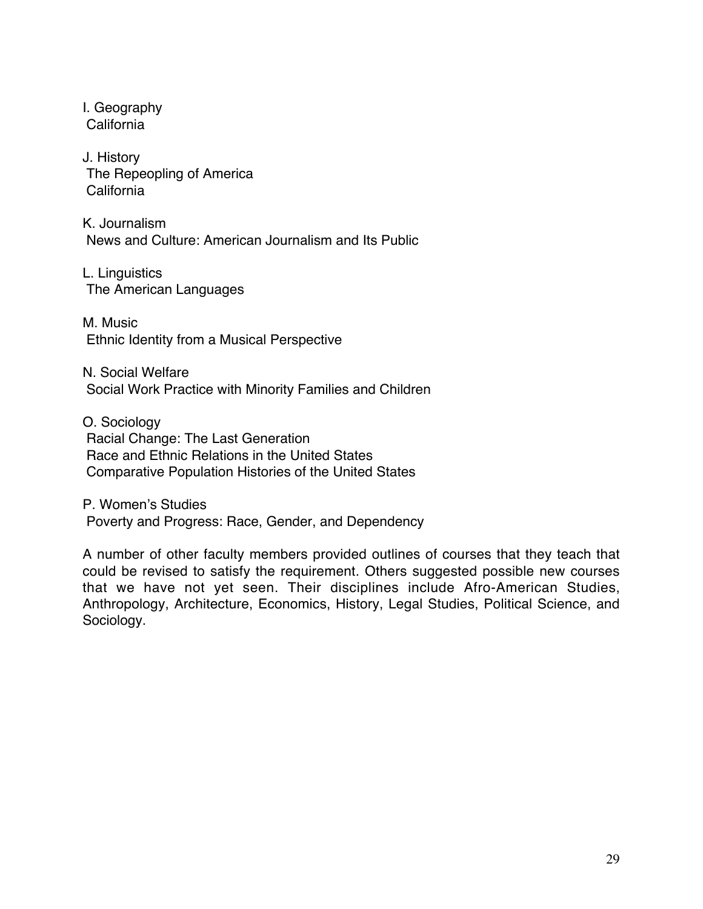I. Geography California

J. History The Repeopling of America California

K. Journalism News and Culture: American Journalism and Its Public

L. Linguistics The American Languages

M. Music Ethnic Identity from a Musical Perspective

N. Social Welfare Social Work Practice with Minority Families and Children

O. Sociology Racial Change: The Last Generation Race and Ethnic Relations in the United States Comparative Population Histories of the United States

P. Women's Studies Poverty and Progress: Race, Gender, and Dependency

A number of other faculty members provided outlines of courses that they teach that could be revised to satisfy the requirement. Others suggested possible new courses that we have not yet seen. Their disciplines include Afro-American Studies, Anthropology, Architecture, Economics, History, Legal Studies, Political Science, and Sociology.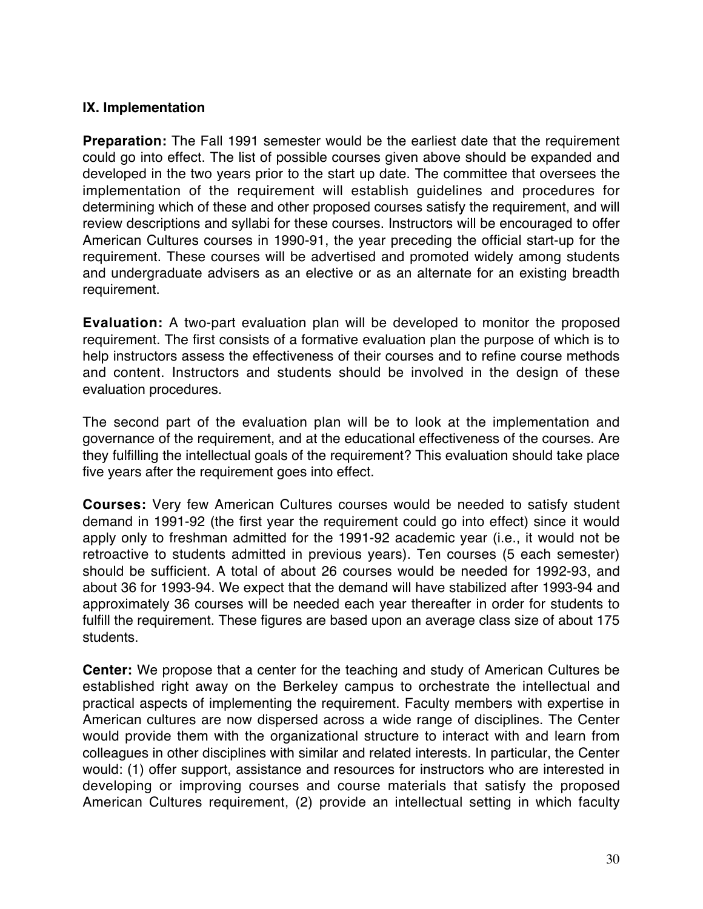#### **IX. Implementation**

**Preparation:** The Fall 1991 semester would be the earliest date that the requirement could go into effect. The list of possible courses given above should be expanded and developed in the two years prior to the start up date. The committee that oversees the implementation of the requirement will establish guidelines and procedures for determining which of these and other proposed courses satisfy the requirement, and will review descriptions and syllabi for these courses. Instructors will be encouraged to offer American Cultures courses in 1990-91, the year preceding the official start-up for the requirement. These courses will be advertised and promoted widely among students and undergraduate advisers as an elective or as an alternate for an existing breadth requirement.

**Evaluation:** A two-part evaluation plan will be developed to monitor the proposed requirement. The first consists of a formative evaluation plan the purpose of which is to help instructors assess the effectiveness of their courses and to refine course methods and content. Instructors and students should be involved in the design of these evaluation procedures.

The second part of the evaluation plan will be to look at the implementation and governance of the requirement, and at the educational effectiveness of the courses. Are they fulfilling the intellectual goals of the requirement? This evaluation should take place five years after the requirement goes into effect.

**Courses:** Very few American Cultures courses would be needed to satisfy student demand in 1991-92 (the first year the requirement could go into effect) since it would apply only to freshman admitted for the 1991-92 academic year (i.e., it would not be retroactive to students admitted in previous years). Ten courses (5 each semester) should be sufficient. A total of about 26 courses would be needed for 1992-93, and about 36 for 1993-94. We expect that the demand will have stabilized after 1993-94 and approximately 36 courses will be needed each year thereafter in order for students to fulfill the requirement. These figures are based upon an average class size of about 175 students.

**Center:** We propose that a center for the teaching and study of American Cultures be established right away on the Berkeley campus to orchestrate the intellectual and practical aspects of implementing the requirement. Faculty members with expertise in American cultures are now dispersed across a wide range of disciplines. The Center would provide them with the organizational structure to interact with and learn from colleagues in other disciplines with similar and related interests. In particular, the Center would: (1) offer support, assistance and resources for instructors who are interested in developing or improving courses and course materials that satisfy the proposed American Cultures requirement, (2) provide an intellectual setting in which faculty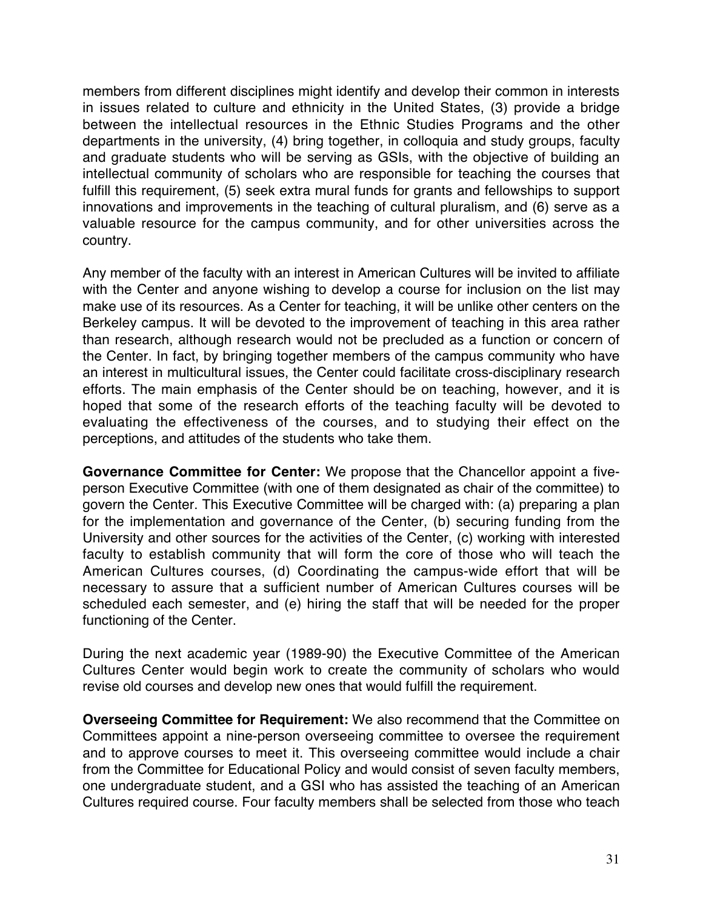members from different disciplines might identify and develop their common in interests in issues related to culture and ethnicity in the United States, (3) provide a bridge between the intellectual resources in the Ethnic Studies Programs and the other departments in the university, (4) bring together, in colloquia and study groups, faculty and graduate students who will be serving as GSIs, with the objective of building an intellectual community of scholars who are responsible for teaching the courses that fulfill this requirement, (5) seek extra mural funds for grants and fellowships to support innovations and improvements in the teaching of cultural pluralism, and (6) serve as a valuable resource for the campus community, and for other universities across the country.

Any member of the faculty with an interest in American Cultures will be invited to affiliate with the Center and anyone wishing to develop a course for inclusion on the list may make use of its resources. As a Center for teaching, it will be unlike other centers on the Berkeley campus. It will be devoted to the improvement of teaching in this area rather than research, although research would not be precluded as a function or concern of the Center. In fact, by bringing together members of the campus community who have an interest in multicultural issues, the Center could facilitate cross-disciplinary research efforts. The main emphasis of the Center should be on teaching, however, and it is hoped that some of the research efforts of the teaching faculty will be devoted to evaluating the effectiveness of the courses, and to studying their effect on the perceptions, and attitudes of the students who take them.

**Governance Committee for Center:** We propose that the Chancellor appoint a fiveperson Executive Committee (with one of them designated as chair of the committee) to govern the Center. This Executive Committee will be charged with: (a) preparing a plan for the implementation and governance of the Center, (b) securing funding from the University and other sources for the activities of the Center, (c) working with interested faculty to establish community that will form the core of those who will teach the American Cultures courses, (d) Coordinating the campus-wide effort that will be necessary to assure that a sufficient number of American Cultures courses will be scheduled each semester, and (e) hiring the staff that will be needed for the proper functioning of the Center.

During the next academic year (1989-90) the Executive Committee of the American Cultures Center would begin work to create the community of scholars who would revise old courses and develop new ones that would fulfill the requirement.

**Overseeing Committee for Requirement:** We also recommend that the Committee on Committees appoint a nine-person overseeing committee to oversee the requirement and to approve courses to meet it. This overseeing committee would include a chair from the Committee for Educational Policy and would consist of seven faculty members, one undergraduate student, and a GSI who has assisted the teaching of an American Cultures required course. Four faculty members shall be selected from those who teach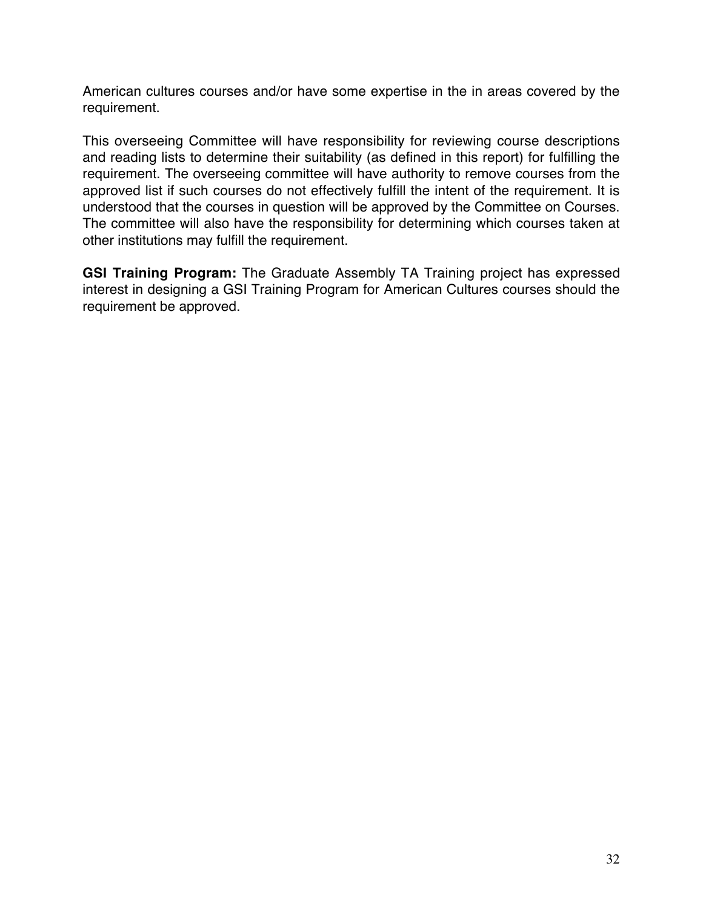American cultures courses and/or have some expertise in the in areas covered by the requirement.

This overseeing Committee will have responsibility for reviewing course descriptions and reading lists to determine their suitability (as defined in this report) for fulfilling the requirement. The overseeing committee will have authority to remove courses from the approved list if such courses do not effectively fulfill the intent of the requirement. It is understood that the courses in question will be approved by the Committee on Courses. The committee will also have the responsibility for determining which courses taken at other institutions may fulfill the requirement.

**GSI Training Program:** The Graduate Assembly TA Training project has expressed interest in designing a GSI Training Program for American Cultures courses should the requirement be approved.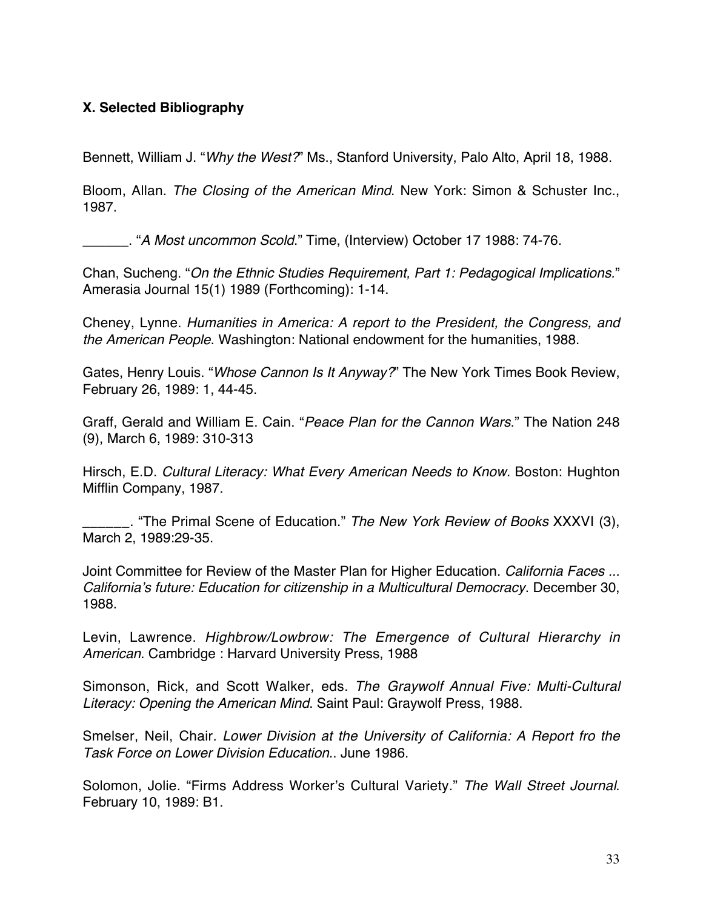# **X. Selected Bibliography**

Bennett, William J. "Why the West?" Ms., Stanford University, Palo Alto, April 18, 1988.

Bloom, Allan. The Closing of the American Mind. New York: Simon & Schuster Inc., 1987.

\_\_\_\_\_\_. "A Most uncommon Scold." Time, (Interview) October 17 1988: 74-76.

Chan, Sucheng. "On the Ethnic Studies Requirement, Part 1: Pedagogical Implications." Amerasia Journal 15(1) 1989 (Forthcoming): 1-14.

Cheney, Lynne. Humanities in America: A report to the President, the Congress, and the American People. Washington: National endowment for the humanities, 1988.

Gates, Henry Louis. "Whose Cannon Is It Anyway?" The New York Times Book Review, February 26, 1989: 1, 44-45.

Graff, Gerald and William E. Cain. "Peace Plan for the Cannon Wars." The Nation 248 (9), March 6, 1989: 310-313

Hirsch, E.D. Cultural Literacy: What Every American Needs to Know. Boston: Hughton Mifflin Company, 1987.

... "The Primal Scene of Education." The New York Review of Books XXXVI (3), March 2, 1989:29-35.

Joint Committee for Review of the Master Plan for Higher Education. California Faces ... California's future: Education for citizenship in a Multicultural Democracy. December 30, 1988.

Levin, Lawrence. Highbrow/Lowbrow: The Emergence of Cultural Hierarchy in American. Cambridge : Harvard University Press, 1988

Simonson, Rick, and Scott Walker, eds. The Graywolf Annual Five: Multi-Cultural Literacy: Opening the American Mind. Saint Paul: Graywolf Press, 1988.

Smelser, Neil, Chair. Lower Division at the University of California: A Report fro the Task Force on Lower Division Education.. June 1986.

Solomon, Jolie. "Firms Address Worker's Cultural Variety." The Wall Street Journal. February 10, 1989: B1.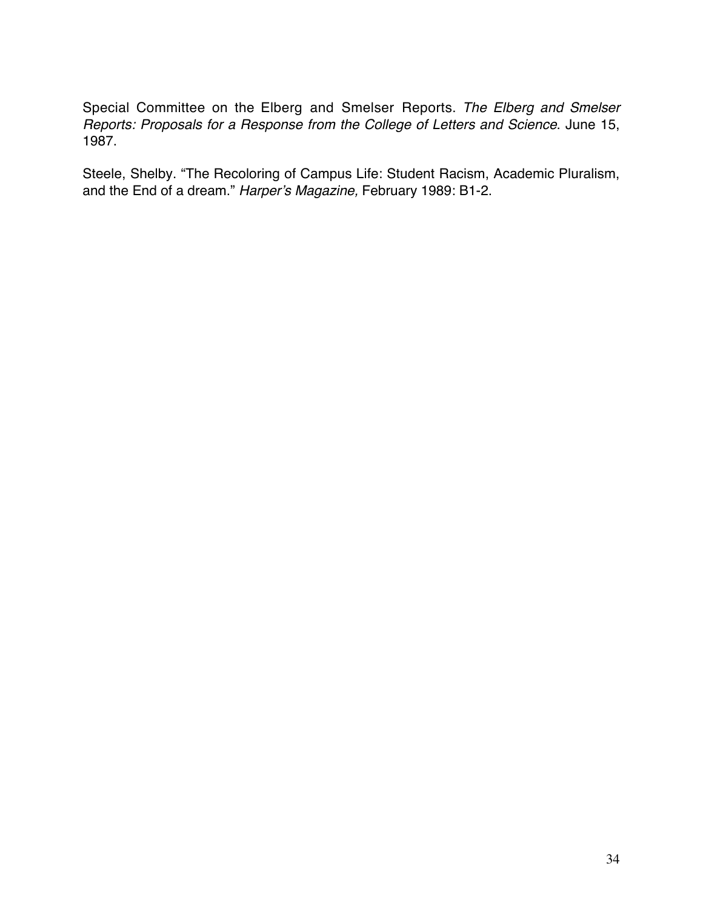Special Committee on the Elberg and Smelser Reports. The Elberg and Smelser Reports: Proposals for a Response from the College of Letters and Science. June 15, 1987.

Steele, Shelby. "The Recoloring of Campus Life: Student Racism, Academic Pluralism, and the End of a dream." Harper's Magazine, February 1989: B1-2.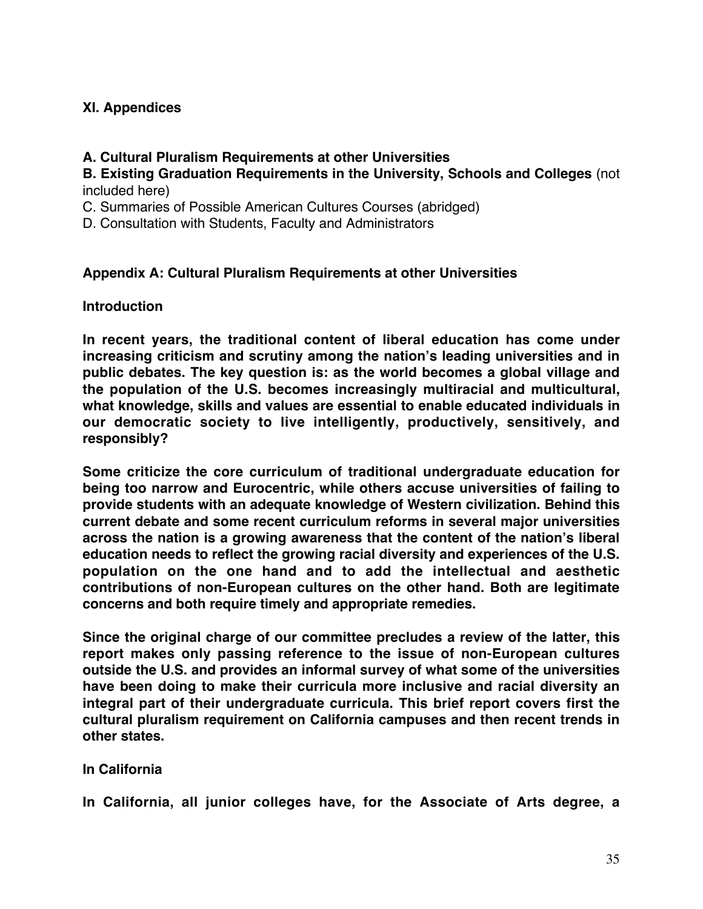# **XI. Appendices**

# **A. Cultural Pluralism Requirements at other Universities**

**B. Existing Graduation Requirements in the University, Schools and Colleges** (not included here)

C. Summaries of Possible American Cultures Courses (abridged)

D. Consultation with Students, Faculty and Administrators

# **Appendix A: Cultural Pluralism Requirements at other Universities**

**Introduction**

**In recent years, the traditional content of liberal education has come under increasing criticism and scrutiny among the nation's leading universities and in public debates. The key question is: as the world becomes a global village and the population of the U.S. becomes increasingly multiracial and multicultural, what knowledge, skills and values are essential to enable educated individuals in our democratic society to live intelligently, productively, sensitively, and responsibly?**

**Some criticize the core curriculum of traditional undergraduate education for being too narrow and Eurocentric, while others accuse universities of failing to provide students with an adequate knowledge of Western civilization. Behind this current debate and some recent curriculum reforms in several major universities across the nation is a growing awareness that the content of the nation's liberal education needs to reflect the growing racial diversity and experiences of the U.S. population on the one hand and to add the intellectual and aesthetic contributions of non-European cultures on the other hand. Both are legitimate concerns and both require timely and appropriate remedies.**

**Since the original charge of our committee precludes a review of the latter, this report makes only passing reference to the issue of non-European cultures outside the U.S. and provides an informal survey of what some of the universities have been doing to make their curricula more inclusive and racial diversity an integral part of their undergraduate curricula. This brief report covers first the cultural pluralism requirement on California campuses and then recent trends in other states.**

# **In California**

**In California, all junior colleges have, for the Associate of Arts degree, a**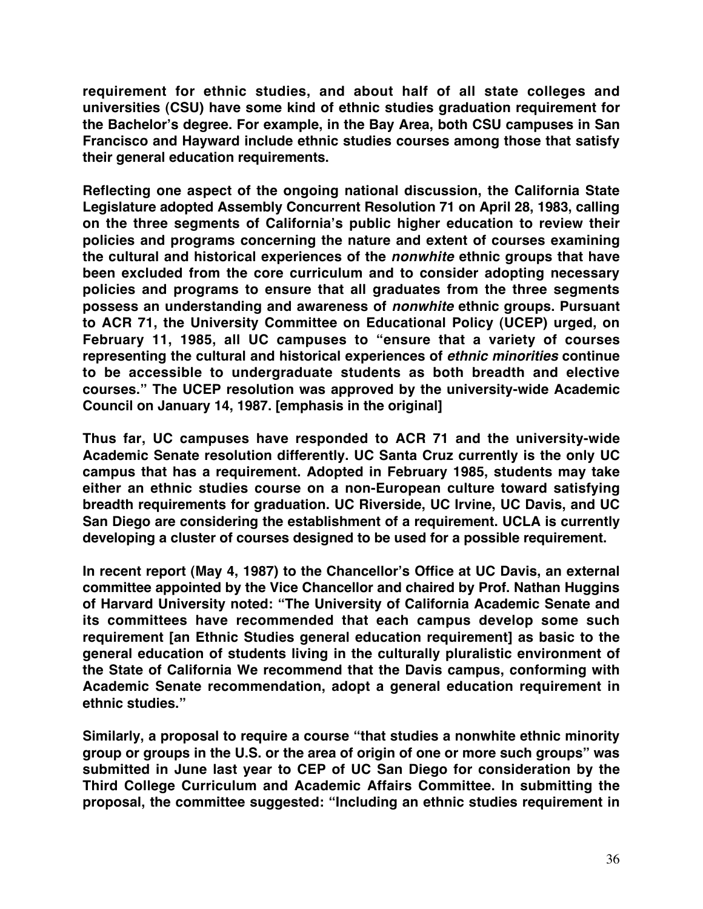**requirement for ethnic studies, and about half of all state colleges and universities (CSU) have some kind of ethnic studies graduation requirement for the Bachelor's degree. For example, in the Bay Area, both CSU campuses in San Francisco and Hayward include ethnic studies courses among those that satisfy their general education requirements.**

**Reflecting one aspect of the ongoing national discussion, the California State Legislature adopted Assembly Concurrent Resolution 71 on April 28, 1983, calling on the three segments of California's public higher education to review their policies and programs concerning the nature and extent of courses examining the cultural and historical experiences of the nonwhite ethnic groups that have been excluded from the core curriculum and to consider adopting necessary policies and programs to ensure that all graduates from the three segments possess an understanding and awareness of nonwhite ethnic groups. Pursuant to ACR 71, the University Committee on Educational Policy (UCEP) urged, on February 11, 1985, all UC campuses to "ensure that a variety of courses representing the cultural and historical experiences of ethnic minorities continue to be accessible to undergraduate students as both breadth and elective courses." The UCEP resolution was approved by the university-wide Academic Council on January 14, 1987. [emphasis in the original]**

**Thus far, UC campuses have responded to ACR 71 and the university-wide Academic Senate resolution differently. UC Santa Cruz currently is the only UC campus that has a requirement. Adopted in February 1985, students may take either an ethnic studies course on a non-European culture toward satisfying breadth requirements for graduation. UC Riverside, UC Irvine, UC Davis, and UC San Diego are considering the establishment of a requirement. UCLA is currently developing a cluster of courses designed to be used for a possible requirement.**

**In recent report (May 4, 1987) to the Chancellor's Office at UC Davis, an external committee appointed by the Vice Chancellor and chaired by Prof. Nathan Huggins of Harvard University noted: "The University of California Academic Senate and its committees have recommended that each campus develop some such requirement [an Ethnic Studies general education requirement] as basic to the general education of students living in the culturally pluralistic environment of the State of California We recommend that the Davis campus, conforming with Academic Senate recommendation, adopt a general education requirement in ethnic studies."**

**Similarly, a proposal to require a course "that studies a nonwhite ethnic minority group or groups in the U.S. or the area of origin of one or more such groups" was submitted in June last year to CEP of UC San Diego for consideration by the Third College Curriculum and Academic Affairs Committee. In submitting the proposal, the committee suggested: "Including an ethnic studies requirement in**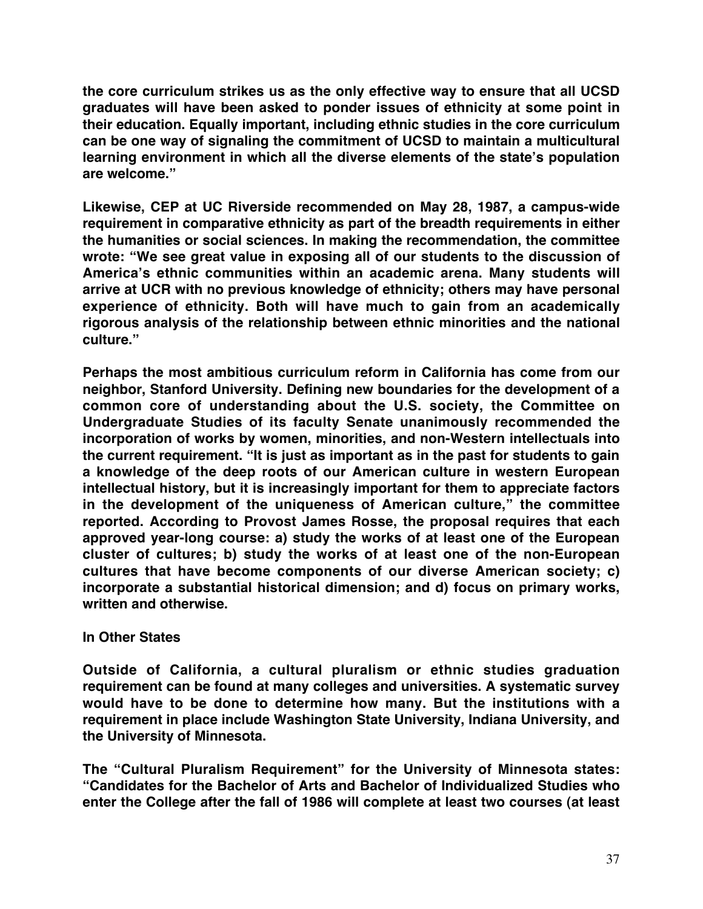**the core curriculum strikes us as the only effective way to ensure that all UCSD graduates will have been asked to ponder issues of ethnicity at some point in their education. Equally important, including ethnic studies in the core curriculum can be one way of signaling the commitment of UCSD to maintain a multicultural learning environment in which all the diverse elements of the state's population are welcome."**

**Likewise, CEP at UC Riverside recommended on May 28, 1987, a campus-wide requirement in comparative ethnicity as part of the breadth requirements in either the humanities or social sciences. In making the recommendation, the committee wrote: "We see great value in exposing all of our students to the discussion of America's ethnic communities within an academic arena. Many students will arrive at UCR with no previous knowledge of ethnicity; others may have personal experience of ethnicity. Both will have much to gain from an academically rigorous analysis of the relationship between ethnic minorities and the national culture."**

**Perhaps the most ambitious curriculum reform in California has come from our neighbor, Stanford University. Defining new boundaries for the development of a common core of understanding about the U.S. society, the Committee on Undergraduate Studies of its faculty Senate unanimously recommended the incorporation of works by women, minorities, and non-Western intellectuals into the current requirement. "It is just as important as in the past for students to gain a knowledge of the deep roots of our American culture in western European intellectual history, but it is increasingly important for them to appreciate factors in the development of the uniqueness of American culture," the committee reported. According to Provost James Rosse, the proposal requires that each approved year-long course: a) study the works of at least one of the European cluster of cultures; b) study the works of at least one of the non-European cultures that have become components of our diverse American society; c) incorporate a substantial historical dimension; and d) focus on primary works, written and otherwise.**

#### **In Other States**

**Outside of California, a cultural pluralism or ethnic studies graduation requirement can be found at many colleges and universities. A systematic survey would have to be done to determine how many. But the institutions with a requirement in place include Washington State University, Indiana University, and the University of Minnesota.**

**The "Cultural Pluralism Requirement" for the University of Minnesota states: "Candidates for the Bachelor of Arts and Bachelor of Individualized Studies who enter the College after the fall of 1986 will complete at least two courses (at least**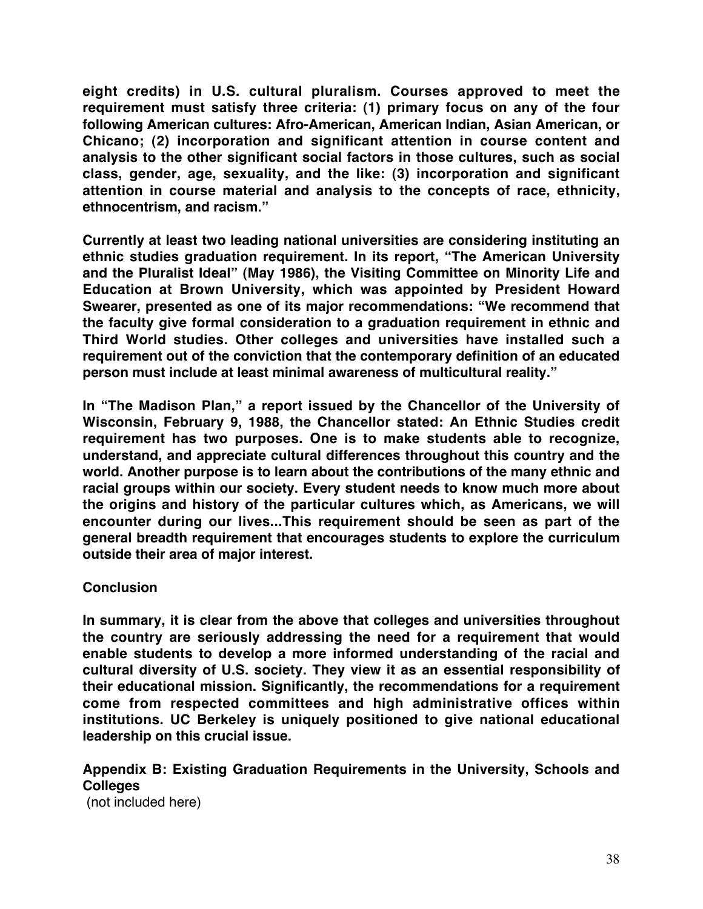**eight credits) in U.S. cultural pluralism. Courses approved to meet the requirement must satisfy three criteria: (1) primary focus on any of the four following American cultures: Afro-American, American Indian, Asian American, or Chicano; (2) incorporation and significant attention in course content and analysis to the other significant social factors in those cultures, such as social class, gender, age, sexuality, and the like: (3) incorporation and significant attention in course material and analysis to the concepts of race, ethnicity, ethnocentrism, and racism."**

**Currently at least two leading national universities are considering instituting an ethnic studies graduation requirement. In its report, "The American University and the Pluralist Ideal" (May 1986), the Visiting Committee on Minority Life and Education at Brown University, which was appointed by President Howard Swearer, presented as one of its major recommendations: "We recommend that the faculty give formal consideration to a graduation requirement in ethnic and Third World studies. Other colleges and universities have installed such a requirement out of the conviction that the contemporary definition of an educated person must include at least minimal awareness of multicultural reality."**

**In "The Madison Plan," a report issued by the Chancellor of the University of Wisconsin, February 9, 1988, the Chancellor stated: An Ethnic Studies credit requirement has two purposes. One is to make students able to recognize, understand, and appreciate cultural differences throughout this country and the world. Another purpose is to learn about the contributions of the many ethnic and racial groups within our society. Every student needs to know much more about the origins and history of the particular cultures which, as Americans, we will encounter during our lives...This requirement should be seen as part of the general breadth requirement that encourages students to explore the curriculum outside their area of major interest.**

#### **Conclusion**

**In summary, it is clear from the above that colleges and universities throughout the country are seriously addressing the need for a requirement that would enable students to develop a more informed understanding of the racial and cultural diversity of U.S. society. They view it as an essential responsibility of their educational mission. Significantly, the recommendations for a requirement come from respected committees and high administrative offices within institutions. UC Berkeley is uniquely positioned to give national educational leadership on this crucial issue.**

# **Appendix B: Existing Graduation Requirements in the University, Schools and Colleges**

(not included here)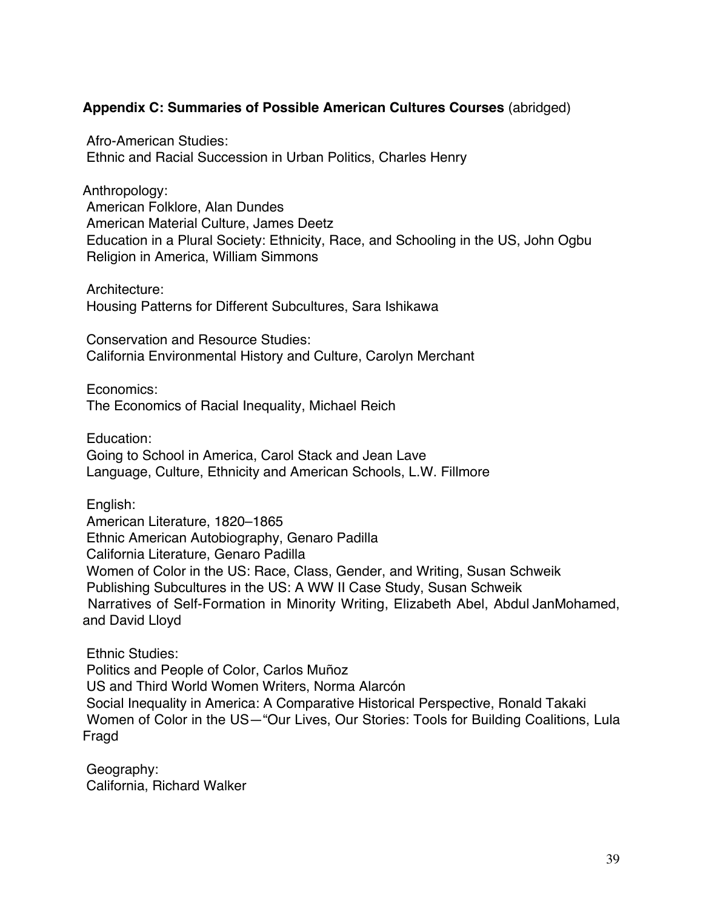## **Appendix C: Summaries of Possible American Cultures Courses** (abridged)

 Afro-American Studies: Ethnic and Racial Succession in Urban Politics, Charles Henry

Anthropology: American Folklore, Alan Dundes American Material Culture, James Deetz Education in a Plural Society: Ethnicity, Race, and Schooling in the US, John Ogbu Religion in America, William Simmons

 Architecture: Housing Patterns for Different Subcultures, Sara Ishikawa

 Conservation and Resource Studies: California Environmental History and Culture, Carolyn Merchant

Economics:

The Economics of Racial Inequality, Michael Reich

Education:

 Going to School in America, Carol Stack and Jean Lave Language, Culture, Ethnicity and American Schools, L.W. Fillmore

English:

 American Literature, 1820–1865 Ethnic American Autobiography, Genaro Padilla California Literature, Genaro Padilla Women of Color in the US: Race, Class, Gender, and Writing, Susan Schweik Publishing Subcultures in the US: A WW II Case Study, Susan Schweik Narratives of Self-Formation in Minority Writing, Elizabeth Abel, Abdul JanMohamed, and David Lloyd

 Ethnic Studies: Politics and People of Color, Carlos Muñoz US and Third World Women Writers, Norma Alarcón Social Inequality in America: A Comparative Historical Perspective, Ronald Takaki Women of Color in the US—"Our Lives, Our Stories: Tools for Building Coalitions, Lula Fragd

 Geography: California, Richard Walker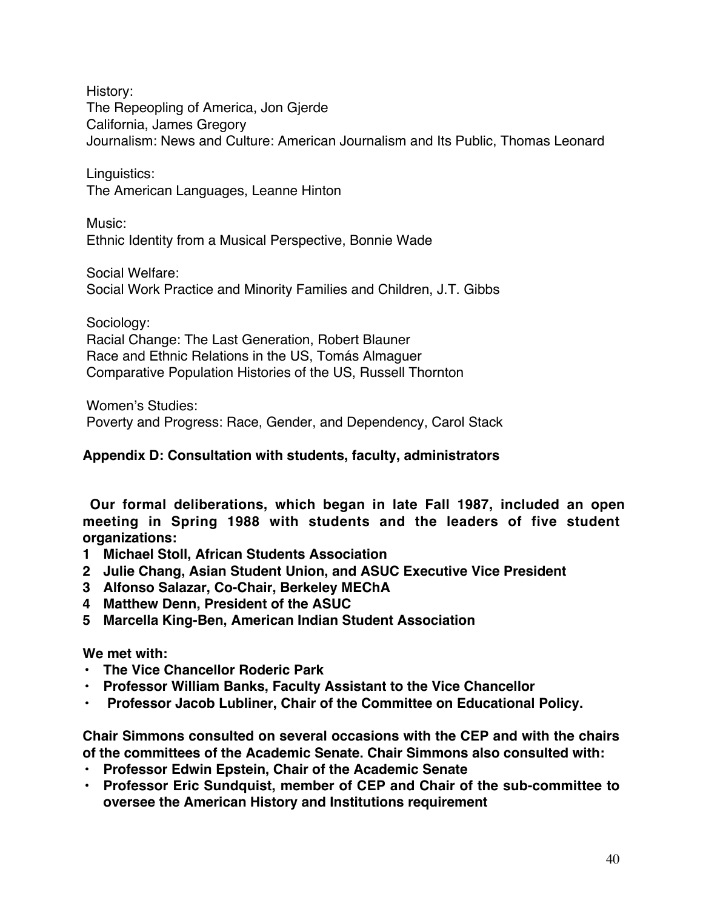History:

 The Repeopling of America, Jon Gjerde California, James Gregory Journalism: News and Culture: American Journalism and Its Public, Thomas Leonard

 Linguistics: The American Languages, Leanne Hinton

 Music: Ethnic Identity from a Musical Perspective, Bonnie Wade

Social Welfare:

Social Work Practice and Minority Families and Children, J.T. Gibbs

Sociology:

 Racial Change: The Last Generation, Robert Blauner Race and Ethnic Relations in the US, Tomás Almaguer Comparative Population Histories of the US, Russell Thornton

 Women's Studies: Poverty and Progress: Race, Gender, and Dependency, Carol Stack

**Appendix D: Consultation with students, faculty, administrators**

**Our formal deliberations, which began in late Fall 1987, included an open meeting in Spring 1988 with students and the leaders of five student organizations:**

- **1 Michael Stoll, African Students Association**
- **2 Julie Chang, Asian Student Union, and ASUC Executive Vice President**
- **3 Alfonso Salazar, Co-Chair, Berkeley MEChA**
- **4 Matthew Denn, President of the ASUC**
- **5 Marcella King-Ben, American Indian Student Association**

# **We met with:**

- **The Vice Chancellor Roderic Park**
- **Professor William Banks, Faculty Assistant to the Vice Chancellor**
- **Professor Jacob Lubliner, Chair of the Committee on Educational Policy.**

**Chair Simmons consulted on several occasions with the CEP and with the chairs of the committees of the Academic Senate. Chair Simmons also consulted with:**

- **Professor Edwin Epstein, Chair of the Academic Senate**
- **Professor Eric Sundquist, member of CEP and Chair of the sub-committee to oversee the American History and Institutions requirement**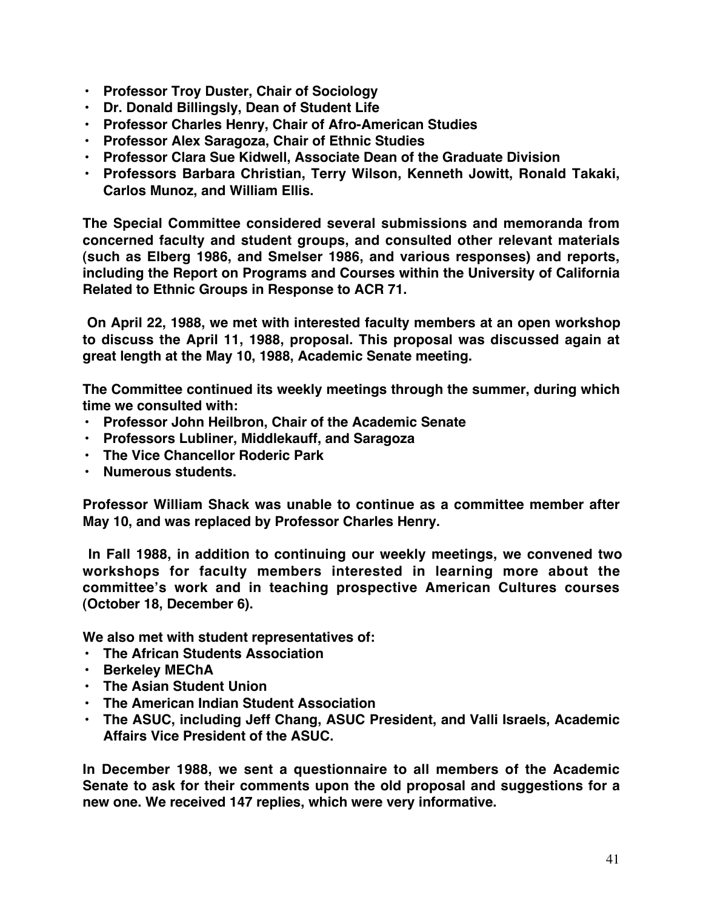- **Professor Troy Duster, Chair of Sociology**
- **Dr. Donald Billingsly, Dean of Student Life**
- **Professor Charles Henry, Chair of Afro-American Studies**
- **Professor Alex Saragoza, Chair of Ethnic Studies**
- **Professor Clara Sue Kidwell, Associate Dean of the Graduate Division**
- **Professors Barbara Christian, Terry Wilson, Kenneth Jowitt, Ronald Takaki, Carlos Munoz, and William Ellis.**

**The Special Committee considered several submissions and memoranda from concerned faculty and student groups, and consulted other relevant materials (such as Elberg 1986, and Smelser 1986, and various responses) and reports, including the Report on Programs and Courses within the University of California Related to Ethnic Groups in Response to ACR 71.**

**On April 22, 1988, we met with interested faculty members at an open workshop to discuss the April 11, 1988, proposal. This proposal was discussed again at great length at the May 10, 1988, Academic Senate meeting.**

**The Committee continued its weekly meetings through the summer, during which time we consulted with:**

- **Professor John Heilbron, Chair of the Academic Senate**
- **Professors Lubliner, Middlekauff, and Saragoza**
- **The Vice Chancellor Roderic Park**
- **Numerous students.**

**Professor William Shack was unable to continue as a committee member after May 10, and was replaced by Professor Charles Henry.**

**In Fall 1988, in addition to continuing our weekly meetings, we convened two workshops for faculty members interested in learning more about the committee's work and in teaching prospective American Cultures courses (October 18, December 6).**

**We also met with student representatives of:**

- **The African Students Association**
- **Berkeley MEChA**
- **The Asian Student Union**
- **The American Indian Student Association**
- **The ASUC, including Jeff Chang, ASUC President, and Valli Israels, Academic Affairs Vice President of the ASUC.**

**In December 1988, we sent a questionnaire to all members of the Academic Senate to ask for their comments upon the old proposal and suggestions for a new one. We received 147 replies, which were very informative.**